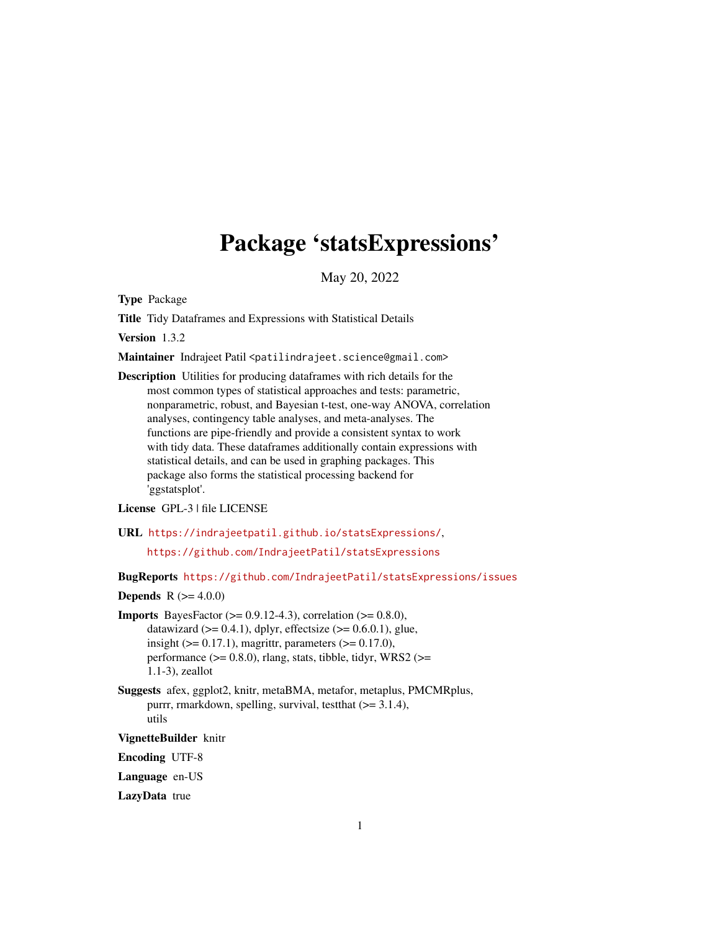# Package 'statsExpressions'

May 20, 2022

<span id="page-0-0"></span>Type Package

Title Tidy Dataframes and Expressions with Statistical Details

Version 1.3.2

Maintainer Indrajeet Patil <patilindrajeet.science@gmail.com>

Description Utilities for producing dataframes with rich details for the most common types of statistical approaches and tests: parametric, nonparametric, robust, and Bayesian t-test, one-way ANOVA, correlation analyses, contingency table analyses, and meta-analyses. The functions are pipe-friendly and provide a consistent syntax to work with tidy data. These dataframes additionally contain expressions with statistical details, and can be used in graphing packages. This package also forms the statistical processing backend for 'ggstatsplot'.

License GPL-3 | file LICENSE

URL <https://indrajeetpatil.github.io/statsExpressions/>,

<https://github.com/IndrajeetPatil/statsExpressions>

BugReports <https://github.com/IndrajeetPatil/statsExpressions/issues>

**Depends** R  $(>= 4.0.0)$ 

**Imports** BayesFactor  $(>= 0.9.12 - 4.3)$ , correlation  $(>= 0.8.0)$ , datawizard  $(>= 0.4.1)$ , dplyr, effectsize  $(>= 0.6.0.1)$ , glue, insight ( $> = 0.17.1$ ), magrittr, parameters ( $> = 0.17.0$ ), performance ( $> = 0.8.0$ ), rlang, stats, tibble, tidyr, WRS2 ( $> =$ 1.1-3), zeallot

Suggests afex, ggplot2, knitr, metaBMA, metafor, metaplus, PMCMRplus, purrr, rmarkdown, spelling, survival, testthat (>= 3.1.4), utils

VignetteBuilder knitr

Encoding UTF-8

Language en-US

LazyData true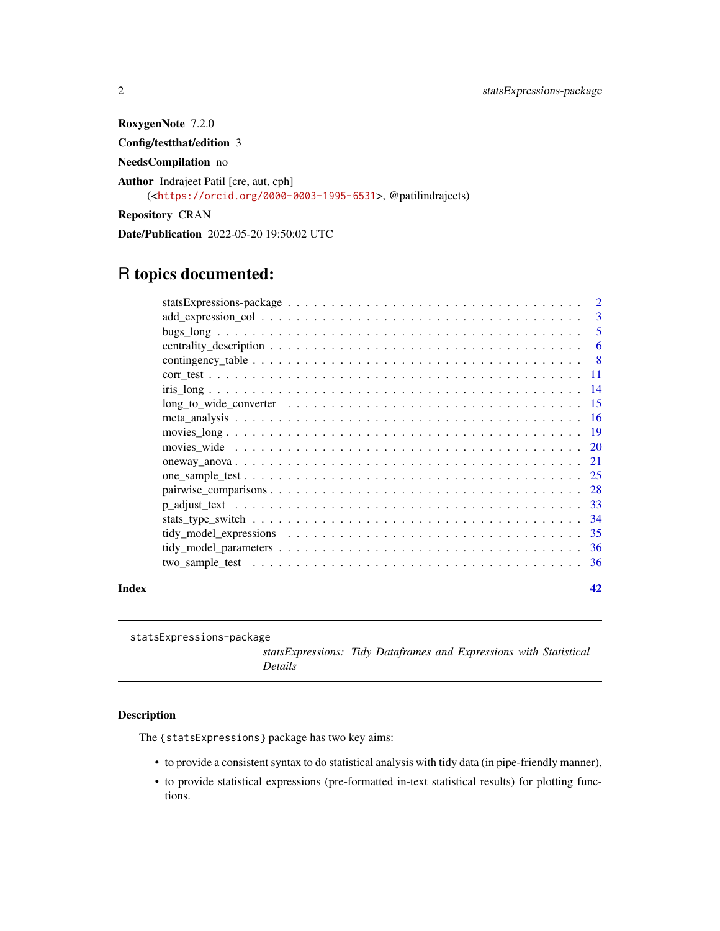RoxygenNote 7.2.0 Config/testthat/edition 3 NeedsCompilation no Author Indrajeet Patil [cre, aut, cph] (<<https://orcid.org/0000-0003-1995-6531>>, @patilindrajeets) Repository CRAN

# R topics documented:

Date/Publication 2022-05-20 19:50:02 UTC

| Index | 42             |
|-------|----------------|
|       |                |
|       |                |
|       |                |
|       |                |
|       |                |
|       |                |
|       |                |
|       |                |
|       |                |
|       |                |
|       |                |
|       |                |
|       |                |
|       |                |
|       |                |
|       |                |
|       | 5              |
|       | 3              |
|       | $\overline{2}$ |

statsExpressions-package

*statsExpressions: Tidy Dataframes and Expressions with Statistical Details*

#### Description

The {statsExpressions} package has two key aims:

- to provide a consistent syntax to do statistical analysis with tidy data (in pipe-friendly manner),
- to provide statistical expressions (pre-formatted in-text statistical results) for plotting functions.

<span id="page-1-0"></span>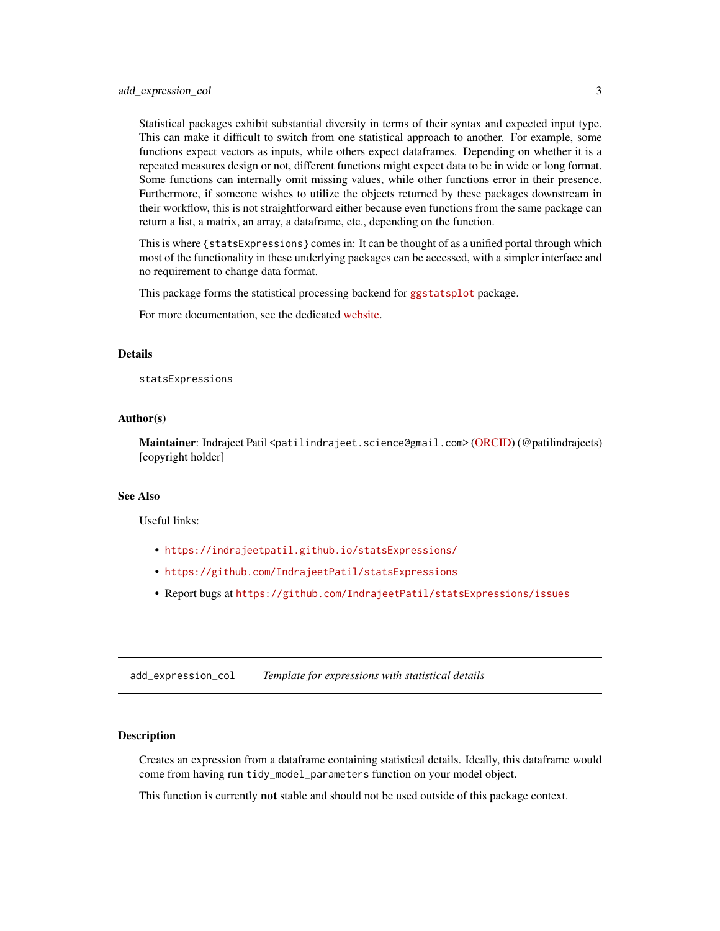<span id="page-2-0"></span>Statistical packages exhibit substantial diversity in terms of their syntax and expected input type. This can make it difficult to switch from one statistical approach to another. For example, some functions expect vectors as inputs, while others expect dataframes. Depending on whether it is a repeated measures design or not, different functions might expect data to be in wide or long format. Some functions can internally omit missing values, while other functions error in their presence. Furthermore, if someone wishes to utilize the objects returned by these packages downstream in their workflow, this is not straightforward either because even functions from the same package can return a list, a matrix, an array, a dataframe, etc., depending on the function.

This is where {statsExpressions} comes in: It can be thought of as a unified portal through which most of the functionality in these underlying packages can be accessed, with a simpler interface and no requirement to change data format.

This package forms the statistical processing backend for [ggstatsplot](https://indrajeetpatil.github.io/ggstatsplot/) package.

For more documentation, see the dedicated [website.](https://indrajeetpatil.github.io/statsExpressions/)

#### Details

statsExpressions

#### Author(s)

Maintainer: Indrajeet Patil <patilindrajeet.science@gmail.com> [\(ORCID\)](https://orcid.org/0000-0003-1995-6531) (@patilindrajeets) [copyright holder]

#### See Also

Useful links:

- <https://indrajeetpatil.github.io/statsExpressions/>
- <https://github.com/IndrajeetPatil/statsExpressions>
- Report bugs at <https://github.com/IndrajeetPatil/statsExpressions/issues>

add\_expression\_col *Template for expressions with statistical details*

#### Description

Creates an expression from a dataframe containing statistical details. Ideally, this dataframe would come from having run tidy\_model\_parameters function on your model object.

This function is currently **not** stable and should not be used outside of this package context.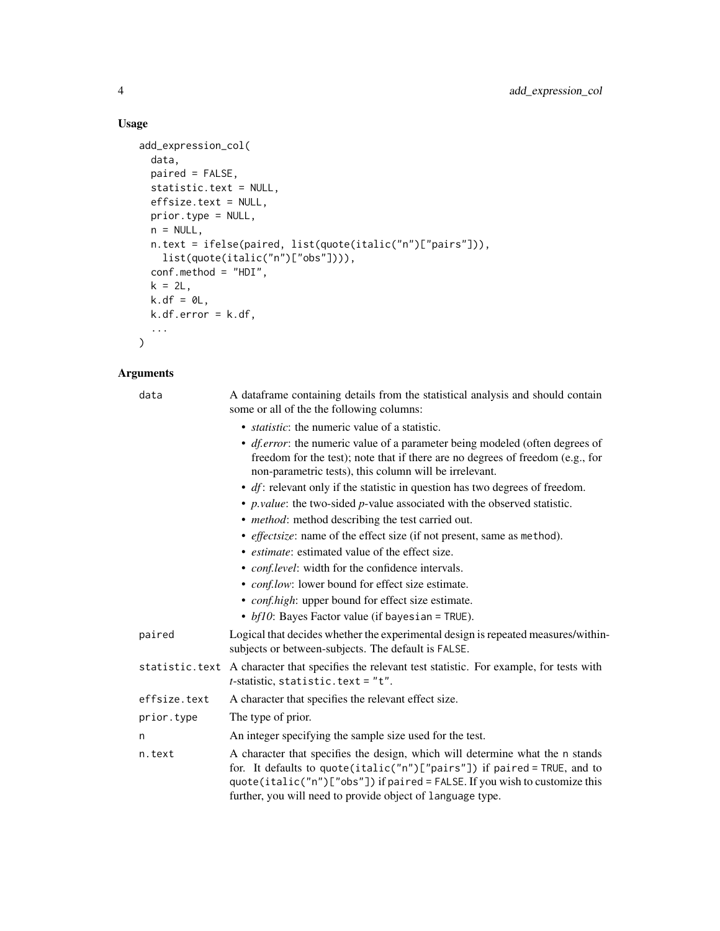# Usage

```
add_expression_col(
 data,
 paired = FALSE,
 statistic.text = NULL,
 effsize.text = NULL,
 prior.type = NULL,
 n = NULL,n.text = ifelse(paired, list(quote(italic("n")["pairs"])),
   list(quote(italic("n")["obs"]))),
 conf.method = "HDI",
 k = 2L,
 k.df = 0L,k.df.error = k.df,
  ...
\mathcal{L}
```

| data         | A data frame containing details from the statistical analysis and should contain<br>some or all of the the following columns:                                                                                                                                                                         |  |  |  |  |  |
|--------------|-------------------------------------------------------------------------------------------------------------------------------------------------------------------------------------------------------------------------------------------------------------------------------------------------------|--|--|--|--|--|
|              | • <i>statistic</i> : the numeric value of a statistic.                                                                                                                                                                                                                                                |  |  |  |  |  |
|              | • <i>df.error</i> : the numeric value of a parameter being modeled (often degrees of<br>freedom for the test); note that if there are no degrees of freedom (e.g., for<br>non-parametric tests), this column will be irrelevant.                                                                      |  |  |  |  |  |
|              | $\bullet$ <i>df</i> : relevant only if the statistic in question has two degrees of freedom.                                                                                                                                                                                                          |  |  |  |  |  |
|              | • <i>p. value</i> : the two-sided <i>p</i> -value associated with the observed statistic.                                                                                                                                                                                                             |  |  |  |  |  |
|              | • <i>method</i> : method describing the test carried out.                                                                                                                                                                                                                                             |  |  |  |  |  |
|              | • <i>effectsize</i> : name of the effect size (if not present, same as method).                                                                                                                                                                                                                       |  |  |  |  |  |
|              | • <i>estimate</i> : estimated value of the effect size.                                                                                                                                                                                                                                               |  |  |  |  |  |
|              | • <i>conf.level</i> : width for the confidence intervals.                                                                                                                                                                                                                                             |  |  |  |  |  |
|              | • conf.low: lower bound for effect size estimate.                                                                                                                                                                                                                                                     |  |  |  |  |  |
|              | • <i>conf.high</i> : upper bound for effect size estimate.                                                                                                                                                                                                                                            |  |  |  |  |  |
|              | • bf10: Bayes Factor value (if bayesian = TRUE).                                                                                                                                                                                                                                                      |  |  |  |  |  |
| paired       | Logical that decides whether the experimental design is repeated measures/within-<br>subjects or between-subjects. The default is FALSE.                                                                                                                                                              |  |  |  |  |  |
|              | statistic. text A character that specifies the relevant test statistic. For example, for tests with<br><i>t</i> -statistic, statistic. text = $"t".$                                                                                                                                                  |  |  |  |  |  |
| effsize.text | A character that specifies the relevant effect size.                                                                                                                                                                                                                                                  |  |  |  |  |  |
| prior.type   | The type of prior.                                                                                                                                                                                                                                                                                    |  |  |  |  |  |
| n            | An integer specifying the sample size used for the test.                                                                                                                                                                                                                                              |  |  |  |  |  |
| n.text       | A character that specifies the design, which will determine what the n stands<br>for. It defaults to quote(italic("n")["pairs"]) if paired = TRUE, and to<br>quote(italic("n")["obs"]) if paired = FALSE. If you wish to customize this<br>further, you will need to provide object of language type. |  |  |  |  |  |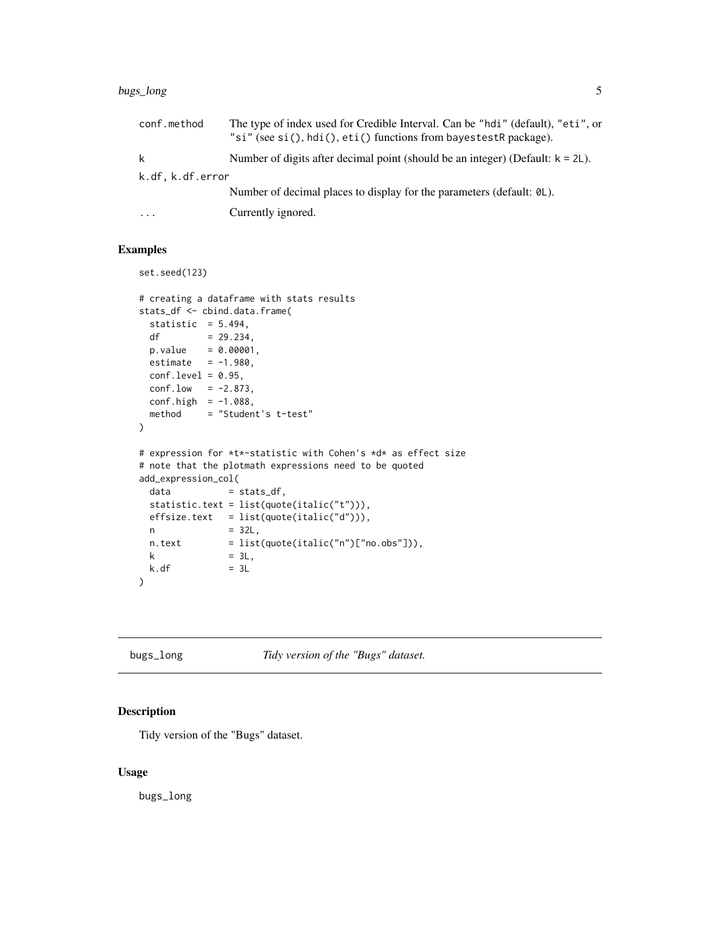#### <span id="page-4-0"></span>bugs\_long 5

| conf.method      | The type of index used for Credible Interval. Can be "hdi" (default), "eti", or<br>"si" (see $si()$ , hdi $()$ , eti $()$ functions from bayestestR package). |
|------------------|---------------------------------------------------------------------------------------------------------------------------------------------------------------|
| k                | Number of digits after decimal point (should be an integer) (Default: $k = 2L$ ).                                                                             |
| k.df, k.df.error |                                                                                                                                                               |
|                  | Number of decimal places to display for the parameters (default: 0L).                                                                                         |
| $\cdots$         | Currently ignored.                                                                                                                                            |

#### Examples

```
set.seed(123)
# creating a dataframe with stats results
stats_df <- cbind.data.frame(
 statistic = 5.494,
 df = 29.234,p.value = 0.00001,
 estimate = -1.980,
 conf. level = 0.95,conf.lower = -2.873,conf.high = -1.088,
 method = "Student's t-test"
\overline{)}# expression for *t*-statistic with Cohen's *d* as effect size
# note that the plotmath expressions need to be quoted
add_expression_col(
 data = stats_df,
 statistic.text = list(quote(italic("t"))),
 effsize.text = list(quote(italic("d"))),
 n = 32L,
 n.text = list(quote( italic("n")['no.obs'')),k = 3L,<br>k.df = 3L= 3L)
```
bugs\_long *Tidy version of the "Bugs" dataset.*

#### Description

Tidy version of the "Bugs" dataset.

#### Usage

bugs\_long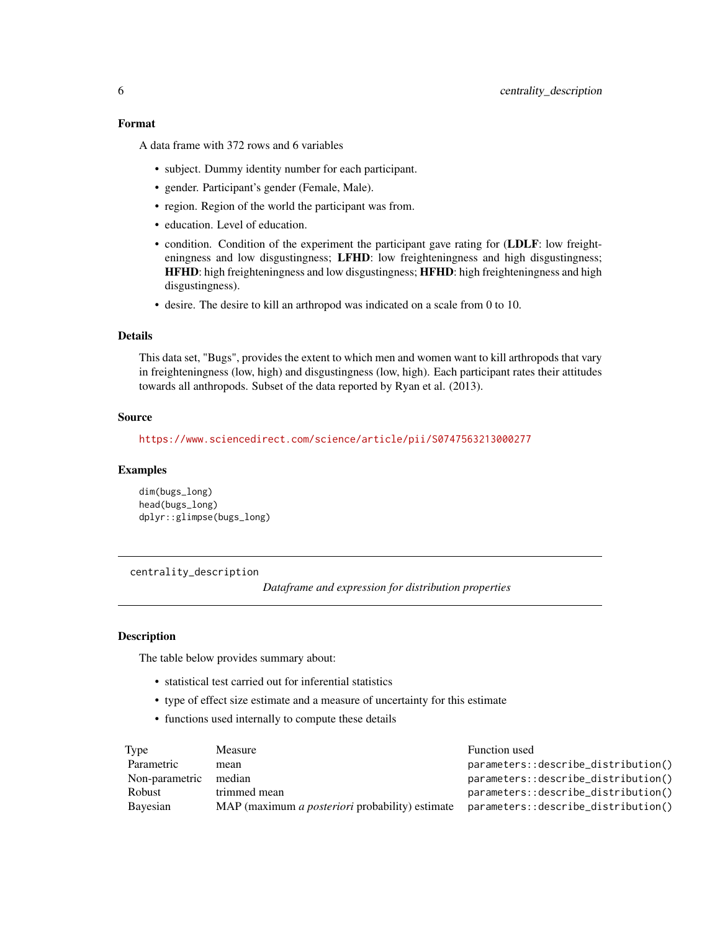<span id="page-5-0"></span>A data frame with 372 rows and 6 variables

- subject. Dummy identity number for each participant.
- gender. Participant's gender (Female, Male).
- region. Region of the world the participant was from.
- education. Level of education.
- condition. Condition of the experiment the participant gave rating for (LDLF: low freighteningness and low disgustingness; LFHD: low freighteningness and high disgustingness; HFHD: high freighteningness and low disgustingness; HFHD: high freighteningness and high disgustingness).
- desire. The desire to kill an arthropod was indicated on a scale from 0 to 10.

#### Details

This data set, "Bugs", provides the extent to which men and women want to kill arthropods that vary in freighteningness (low, high) and disgustingness (low, high). Each participant rates their attitudes towards all anthropods. Subset of the data reported by Ryan et al. (2013).

#### Source

<https://www.sciencedirect.com/science/article/pii/S0747563213000277>

#### Examples

dim(bugs\_long) head(bugs\_long) dplyr::glimpse(bugs\_long)

centrality\_description

*Dataframe and expression for distribution properties*

#### **Description**

The table below provides summary about:

- statistical test carried out for inferential statistics
- type of effect size estimate and a measure of uncertainty for this estimate
- functions used internally to compute these details

| Type           | Measure                                                | Function used                       |
|----------------|--------------------------------------------------------|-------------------------------------|
| Parametric     | mean                                                   | parameters::describe_distribution() |
| Non-parametric | median                                                 | parameters::describe_distribution() |
| <b>Robust</b>  | trimmed mean                                           | parameters::describe_distribution() |
| Bayesian       | MAP (maximum <i>a posteriori</i> probability) estimate | parameters::describe_distribution() |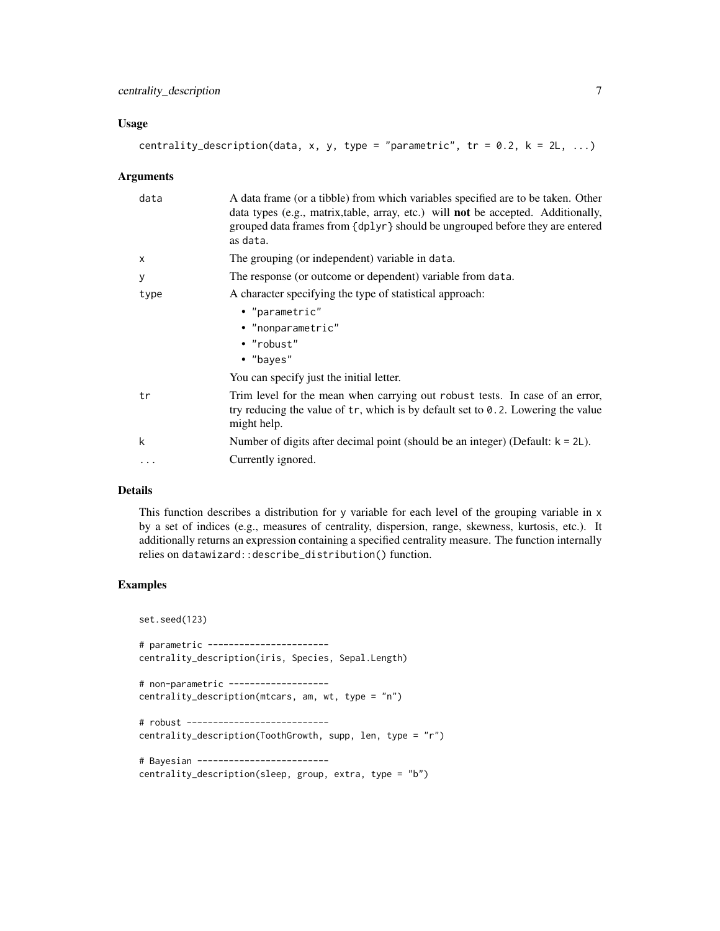#### Usage

centrality\_description(data, x, y, type = "parametric",  $tr = 0.2$ ,  $k = 2L$ , ...)

#### Arguments

| data | A data frame (or a tibble) from which variables specified are to be taken. Other<br>data types (e.g., matrix, table, array, etc.) will not be accepted. Additionally,<br>grouped data frames from {dplyr} should be ungrouped before they are entered<br>as data. |
|------|-------------------------------------------------------------------------------------------------------------------------------------------------------------------------------------------------------------------------------------------------------------------|
| X    | The grouping (or independent) variable in data.                                                                                                                                                                                                                   |
| У    | The response (or outcome or dependent) variable from data.                                                                                                                                                                                                        |
| type | A character specifying the type of statistical approach:                                                                                                                                                                                                          |
|      | • "parametric"                                                                                                                                                                                                                                                    |
|      | · "nonparametric"                                                                                                                                                                                                                                                 |
|      | • "robust"                                                                                                                                                                                                                                                        |
|      | • "bayes"                                                                                                                                                                                                                                                         |
|      | You can specify just the initial letter.                                                                                                                                                                                                                          |
| tr   | Trim level for the mean when carrying out robust tests. In case of an error,<br>try reducing the value of $tr$ , which is by default set to 0.2. Lowering the value<br>might help.                                                                                |
| k    | Number of digits after decimal point (should be an integer) (Default: $k = 2L$ ).                                                                                                                                                                                 |
| .    | Currently ignored.                                                                                                                                                                                                                                                |

#### Details

This function describes a distribution for y variable for each level of the grouping variable in x by a set of indices (e.g., measures of centrality, dispersion, range, skewness, kurtosis, etc.). It additionally returns an expression containing a specified centrality measure. The function internally relies on datawizard::describe\_distribution() function.

```
set.seed(123)
```

```
# parametric -----------------------
centrality_description(iris, Species, Sepal.Length)
# non-parametric -------------------
centrality_description(mtcars, am, wt, type = "n")
# robust ---------------------------
centrality_description(ToothGrowth, supp, len, type = "r")
# Bayesian -------------------------
centrality_description(sleep, group, extra, type = "b")
```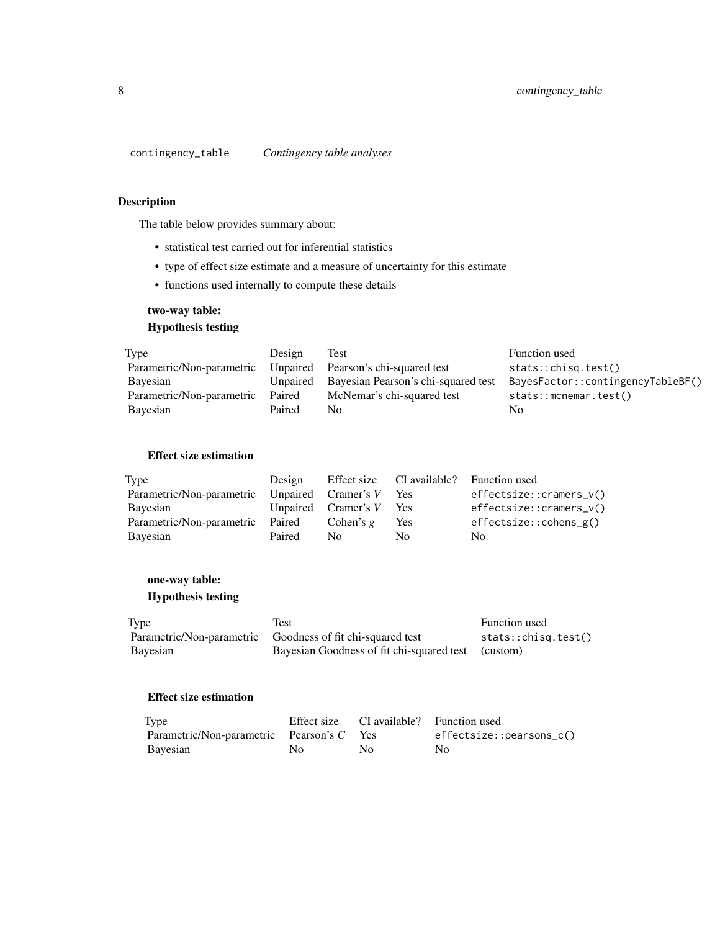<span id="page-7-0"></span>contingency\_table *Contingency table analyses*

#### Description

The table below provides summary about:

- statistical test carried out for inferential statistics
- type of effect size estimate and a measure of uncertainty for this estimate
- functions used internally to compute these details

# two-way table: Hypothesis testing

| Type                      | Design | Test                                         | Function used                     |
|---------------------------|--------|----------------------------------------------|-----------------------------------|
| Parametric/Non-parametric |        | Unpaired Pearson's chi-squared test          | stats::chisg.test()               |
| Bayesian                  |        | Unpaired Bayesian Pearson's chi-squared test | BayesFactor::contingencyTableBF() |
| Parametric/Non-parametric | Paired | McNemar's chi-squared test                   | stats::mcnemar.test()             |
| Bayesian                  | Paired | No                                           | No                                |

#### Effect size estimation

| Type                                              | Design |                           | Effect size CI available? Function used |                          |
|---------------------------------------------------|--------|---------------------------|-----------------------------------------|--------------------------|
| Parametric/Non-parametric Unpaired Cramer's V Yes |        |                           |                                         | $effectsize::crames_v()$ |
| Bayesian                                          |        | Unpaired Cramer's $V$ Yes |                                         | $effectsize::crames_v()$ |
| Parametric/Non-parametric Paired                  |        | Cohen's $g$               | <b>Yes</b>                              | $effectsize::cohens_g()$ |
| Bayesian                                          | Paired | No.                       | No.                                     | No.                      |

# one-way table:

#### Hypothesis testing

| Type     | Test                                                       | Function used       |
|----------|------------------------------------------------------------|---------------------|
|          | Parametric/Non-parametric Goodness of fit chi-squared test | stats::chisg.test() |
| Bayesian | Bayesian Goodness of fit chi-squared test (custom)         |                     |

# Effect size estimation

| Type                                      |     |     | Effect size CI available? Function used |
|-------------------------------------------|-----|-----|-----------------------------------------|
| Parametric/Non-parametric Pearson's C Yes |     |     | $effectsize::pearsons_c()$              |
| Bayesian                                  | No. | No. | No.                                     |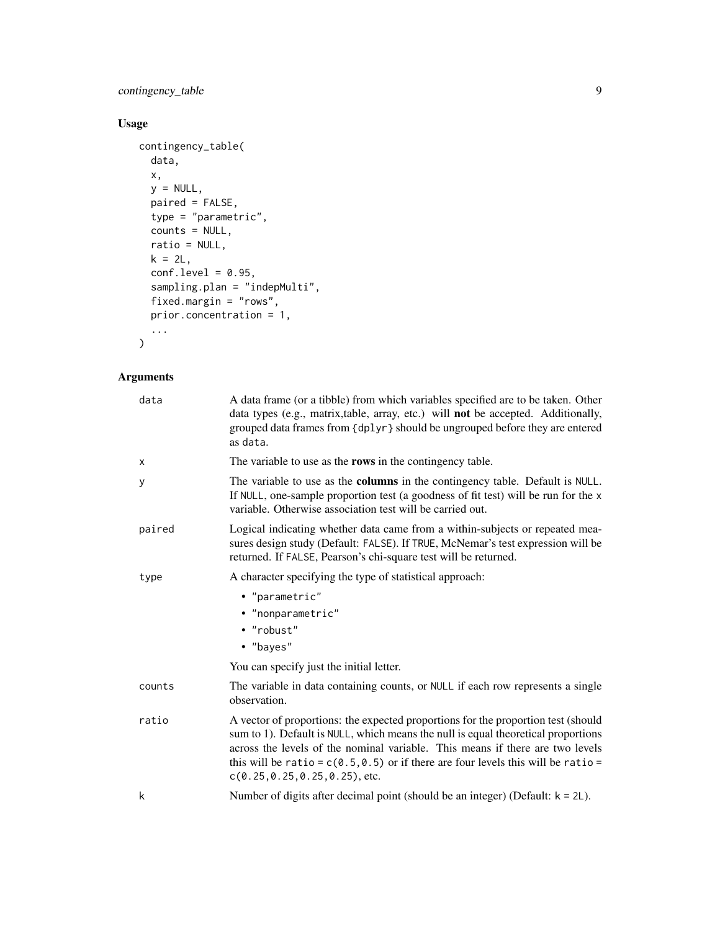contingency\_table 9

# Usage

```
contingency_table(
  data,
  x,
  y = NULL,paired = FALSE,
  type = "parametric",
  counts = NULL,
  ratio = NULL,
  k = 2L,
  conf.level = 0.95,sampling.plan = "indepMulti",
  fixed.margin = "rows",
  prior.concentration = 1,
  ...
\mathcal{L}
```

| data   | A data frame (or a tibble) from which variables specified are to be taken. Other<br>data types (e.g., matrix, table, array, etc.) will not be accepted. Additionally,<br>grouped data frames from {dplyr} should be ungrouped before they are entered<br>as data.                                                                                                                    |  |  |
|--------|--------------------------------------------------------------------------------------------------------------------------------------------------------------------------------------------------------------------------------------------------------------------------------------------------------------------------------------------------------------------------------------|--|--|
| X      | The variable to use as the <b>rows</b> in the contingency table.                                                                                                                                                                                                                                                                                                                     |  |  |
| У      | The variable to use as the <b>columns</b> in the contingency table. Default is NULL.<br>If NULL, one-sample proportion test (a goodness of fit test) will be run for the x<br>variable. Otherwise association test will be carried out.                                                                                                                                              |  |  |
| paired | Logical indicating whether data came from a within-subjects or repeated mea-<br>sures design study (Default: FALSE). If TRUE, McNemar's test expression will be<br>returned. If FALSE, Pearson's chi-square test will be returned.                                                                                                                                                   |  |  |
| type   | A character specifying the type of statistical approach:                                                                                                                                                                                                                                                                                                                             |  |  |
|        | • "parametric"<br>· "nonparametric"<br>• "robust"<br>• "bayes"                                                                                                                                                                                                                                                                                                                       |  |  |
|        | You can specify just the initial letter.                                                                                                                                                                                                                                                                                                                                             |  |  |
| counts | The variable in data containing counts, or NULL if each row represents a single<br>observation.                                                                                                                                                                                                                                                                                      |  |  |
| ratio  | A vector of proportions: the expected proportions for the proportion test (should<br>sum to 1). Default is NULL, which means the null is equal theoretical proportions<br>across the levels of the nominal variable. This means if there are two levels<br>this will be ratio = $c(0.5, 0.5)$ or if there are four levels this will be ratio =<br>$c(0.25, 0.25, 0.25, 0.25)$ , etc. |  |  |
| k      | Number of digits after decimal point (should be an integer) (Default: $k = 2L$ ).                                                                                                                                                                                                                                                                                                    |  |  |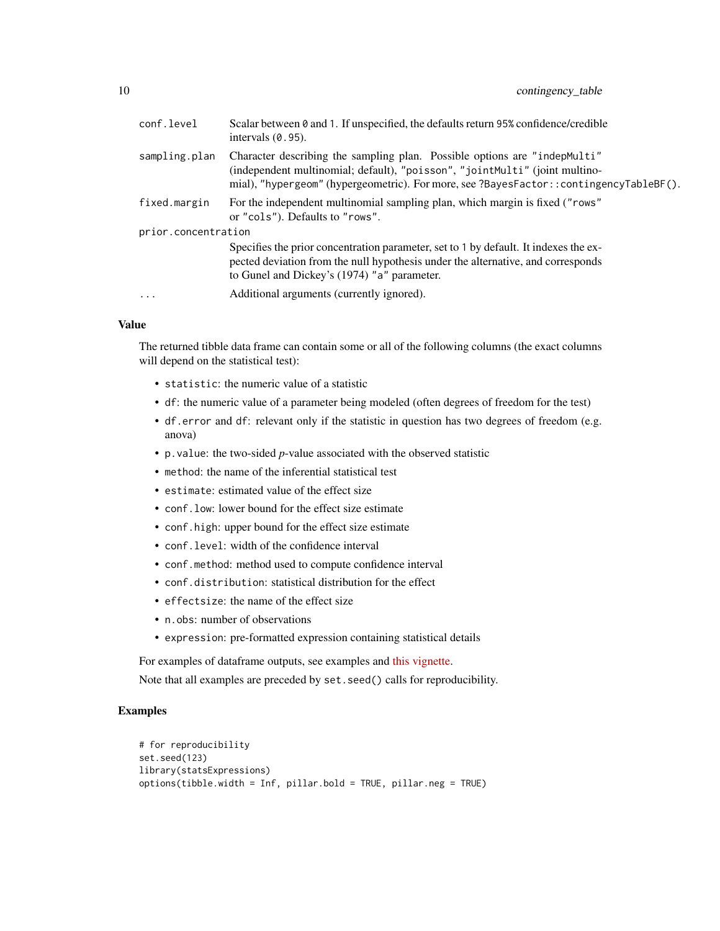| conf.level          | Scalar between 0 and 1. If unspecified, the defaults return 95% confidence/credible<br>intervals $(0.95)$ .                                                                                                                                         |
|---------------------|-----------------------------------------------------------------------------------------------------------------------------------------------------------------------------------------------------------------------------------------------------|
| sampling.plan       | Character describing the sampling plan. Possible options are "indepMulti"<br>(independent multinomial; default), "poisson", "jointMulti" (joint multino-<br>mial), "hypergeom" (hypergeometric). For more, see ?BayesFactor:: contingencyTableBF(). |
| fixed.margin        | For the independent multinomial sampling plan, which margin is fixed ("rows"<br>or "cols"). Defaults to "rows".                                                                                                                                     |
| prior.concentration |                                                                                                                                                                                                                                                     |
|                     | Specifies the prior concentration parameter, set to 1 by default. It indexes the ex-<br>pected deviation from the null hypothesis under the alternative, and corresponds<br>to Gunel and Dickey's (1974) "a" parameter.                             |
| $\cdot$             | Additional arguments (currently ignored).                                                                                                                                                                                                           |
|                     |                                                                                                                                                                                                                                                     |

#### Value

The returned tibble data frame can contain some or all of the following columns (the exact columns will depend on the statistical test):

- statistic: the numeric value of a statistic
- df: the numeric value of a parameter being modeled (often degrees of freedom for the test)
- df.error and df: relevant only if the statistic in question has two degrees of freedom (e.g. anova)
- p.value: the two-sided *p*-value associated with the observed statistic
- method: the name of the inferential statistical test
- estimate: estimated value of the effect size
- conf.low: lower bound for the effect size estimate
- conf.high: upper bound for the effect size estimate
- conf.level: width of the confidence interval
- conf.method: method used to compute confidence interval
- conf.distribution: statistical distribution for the effect
- effectsize: the name of the effect size
- n.obs: number of observations
- expression: pre-formatted expression containing statistical details

For examples of dataframe outputs, see examples and [this vignette.](https://indrajeetpatil.github.io/statsExpressions/articles/web_only/dataframe_outputs.html)

Note that all examples are preceded by set.seed() calls for reproducibility.

```
# for reproducibility
set.seed(123)
library(statsExpressions)
options(tibble.width = Inf, pillar.bold = TRUE, pillar.neg = TRUE)
```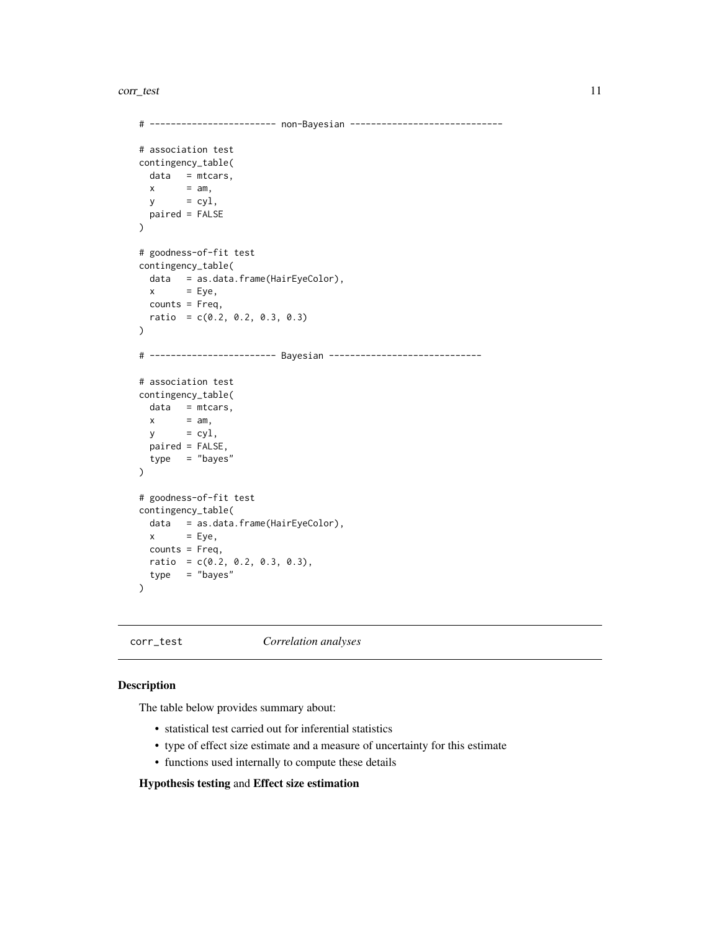#### <span id="page-10-0"></span>corr\_test 11

```
# ------------------------ non-Bayesian -----------------------------
# association test
contingency_table(
 data = mtcars,
 x = am,
 y = cyl,paired = FALSE
\lambda# goodness-of-fit test
contingency_table(
 data = as.data.frame(HairEyeColor),
 x = Eye,
 counts = Freq,
 ratio = c(0.2, 0.2, 0.3, 0.3)
)
# ------------------------ Bayesian -----------------------------
# association test
contingency_table(
 data = mtcars,
 x = am,y = cy1,paired = FALSE,
 type = "bayes"
\mathcal{L}# goodness-of-fit test
contingency_table(
 data = as.data.frame(HairEyeColor),
 x = Eye,
 counts = Freq,
 ratio = c(0.2, 0.2, 0.3, 0.3),
 type = "bayes"
\lambda
```
corr\_test *Correlation analyses*

#### Description

The table below provides summary about:

- statistical test carried out for inferential statistics
- type of effect size estimate and a measure of uncertainty for this estimate
- functions used internally to compute these details

#### Hypothesis testing and Effect size estimation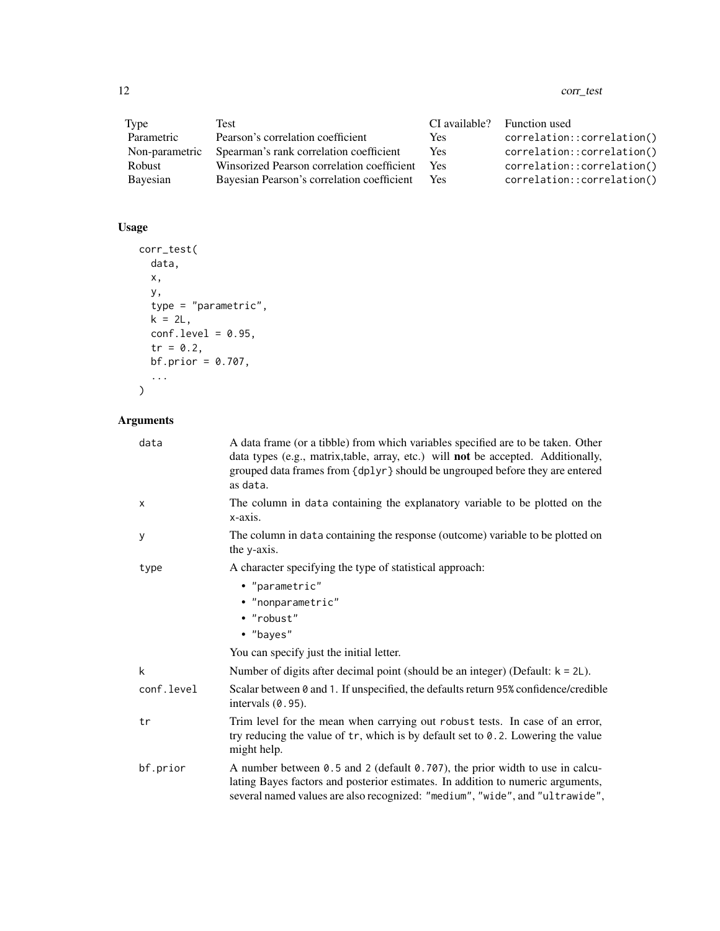#### 12 corr\_test

| Type           | Test                                       | CI available? | Function used              |
|----------------|--------------------------------------------|---------------|----------------------------|
| Parametric     | Pearson's correlation coefficient          | Yes           | correlation::correlation() |
| Non-parametric | Spearman's rank correlation coefficient    | Yes           | correlation::correlation() |
| Robust         | Winsorized Pearson correlation coefficient | Yes           | correlation::correlation() |
| Bayesian       | Bayesian Pearson's correlation coefficient | <b>Yes</b>    | correlation::correlation() |

# Usage

```
corr_test(
  data,
  x,
  y,
  type = "parametric",
  k = 2L,conf.level = 0.95,tr = 0.2,
  bf.prior = 0.707,
  ...
\overline{)}
```

| data       | A data frame (or a tibble) from which variables specified are to be taken. Other<br>data types (e.g., matrix, table, array, etc.) will not be accepted. Additionally,<br>grouped data frames from {dplyr} should be ungrouped before they are entered<br>as data. |
|------------|-------------------------------------------------------------------------------------------------------------------------------------------------------------------------------------------------------------------------------------------------------------------|
| X          | The column in data containing the explanatory variable to be plotted on the<br>x-axis.                                                                                                                                                                            |
| У          | The column in data containing the response (outcome) variable to be plotted on<br>the y-axis.                                                                                                                                                                     |
| type       | A character specifying the type of statistical approach:                                                                                                                                                                                                          |
|            | • "parametric"<br>· "nonparametric"<br>• "robust"<br>• "bayes"<br>You can specify just the initial letter.                                                                                                                                                        |
| k          | Number of digits after decimal point (should be an integer) (Default: $k = 2L$ ).                                                                                                                                                                                 |
| conf.level | Scalar between 0 and 1. If unspecified, the defaults return 95% confidence/credible<br>intervals (0.95).                                                                                                                                                          |
| tr         | Trim level for the mean when carrying out robust tests. In case of an error,<br>try reducing the value of $tr$ , which is by default set to 0.2. Lowering the value<br>might help.                                                                                |
| bf.prior   | A number between $0.5$ and 2 (default $0.707$ ), the prior width to use in calcu-<br>lating Bayes factors and posterior estimates. In addition to numeric arguments,<br>several named values are also recognized: "medium", "wide", and "ultrawide",              |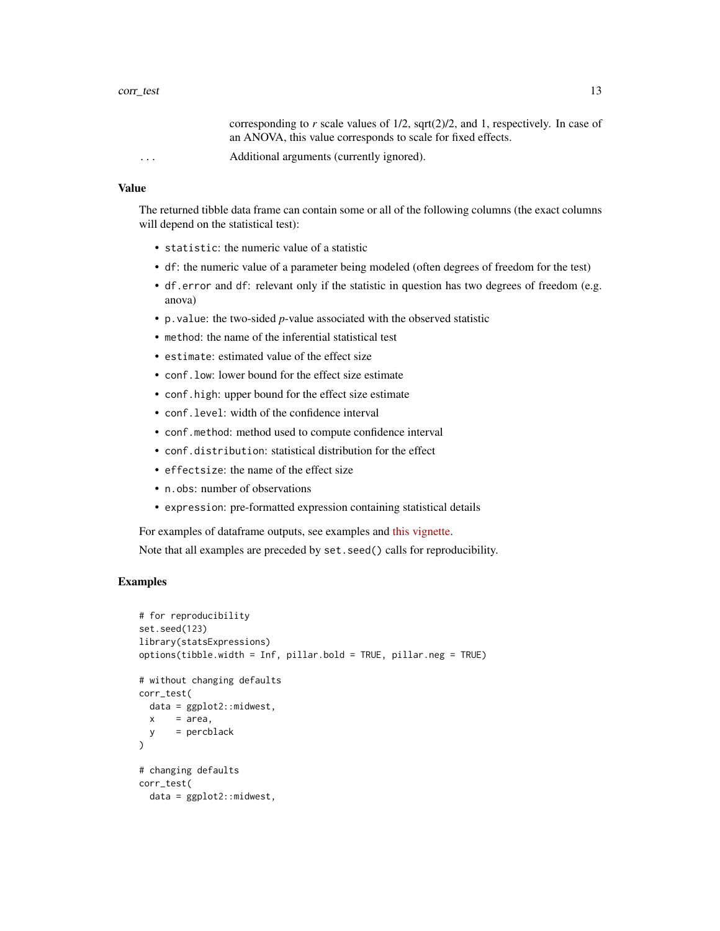corresponding to  $r$  scale values of  $1/2$ , sqrt $(2)/2$ , and 1, respectively. In case of an ANOVA, this value corresponds to scale for fixed effects.

... Additional arguments (currently ignored).

#### Value

The returned tibble data frame can contain some or all of the following columns (the exact columns will depend on the statistical test):

- statistic: the numeric value of a statistic
- df: the numeric value of a parameter being modeled (often degrees of freedom for the test)
- df.error and df: relevant only if the statistic in question has two degrees of freedom (e.g. anova)
- p.value: the two-sided *p*-value associated with the observed statistic
- method: the name of the inferential statistical test
- estimate: estimated value of the effect size
- conf.low: lower bound for the effect size estimate
- conf.high: upper bound for the effect size estimate
- conf.level: width of the confidence interval
- conf.method: method used to compute confidence interval
- conf.distribution: statistical distribution for the effect
- effectsize: the name of the effect size
- n.obs: number of observations
- expression: pre-formatted expression containing statistical details

For examples of dataframe outputs, see examples and [this vignette.](https://indrajeetpatil.github.io/statsExpressions/articles/web_only/dataframe_outputs.html)

Note that all examples are preceded by set.seed() calls for reproducibility.

```
# for reproducibility
set.seed(123)
library(statsExpressions)
options(tibble.width = Inf, pillar.bold = TRUE, pillar.neg = TRUE)
# without changing defaults
corr_test(
 data = ggplot2::midwest,x = area.
 y = percblack
)
# changing defaults
corr_test(
 data = ggplot2::midwest,
```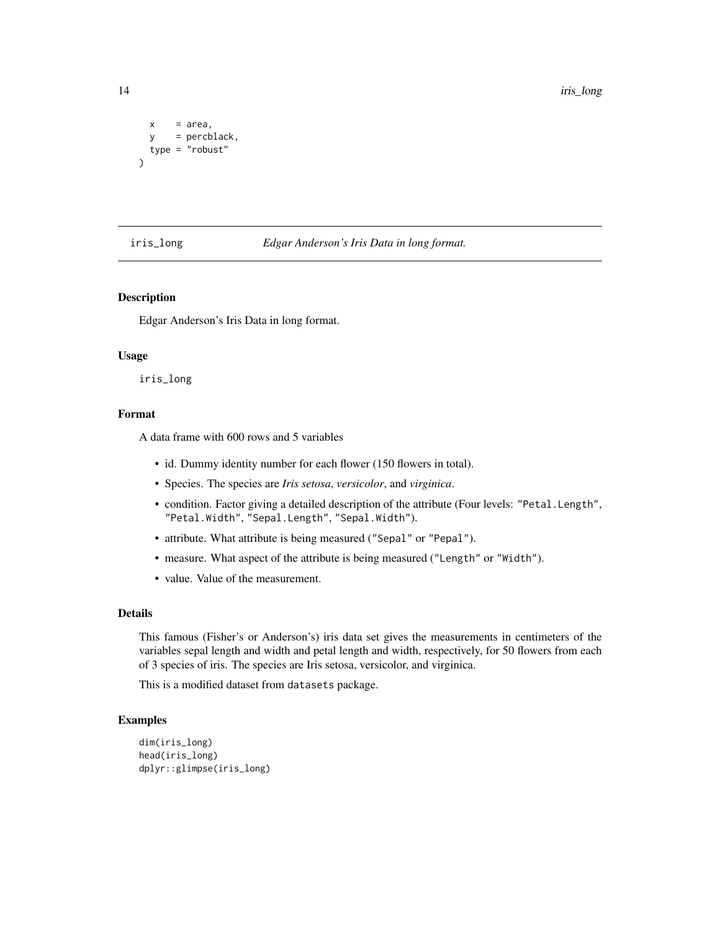```
x = area,
 y = percblack,
 type = "robust"
\lambda
```
#### iris\_long *Edgar Anderson's Iris Data in long format.*

#### Description

Edgar Anderson's Iris Data in long format.

#### Usage

iris\_long

#### Format

A data frame with 600 rows and 5 variables

- id. Dummy identity number for each flower (150 flowers in total).
- Species. The species are *Iris setosa*, *versicolor*, and *virginica*.
- condition. Factor giving a detailed description of the attribute (Four levels: "Petal.Length", "Petal.Width", "Sepal.Length", "Sepal.Width").
- attribute. What attribute is being measured ("Sepal" or "Pepal").
- measure. What aspect of the attribute is being measured ("Length" or "Width").
- value. Value of the measurement.

#### Details

This famous (Fisher's or Anderson's) iris data set gives the measurements in centimeters of the variables sepal length and width and petal length and width, respectively, for 50 flowers from each of 3 species of iris. The species are Iris setosa, versicolor, and virginica.

This is a modified dataset from datasets package.

```
dim(iris_long)
head(iris_long)
dplyr::glimpse(iris_long)
```
<span id="page-13-0"></span>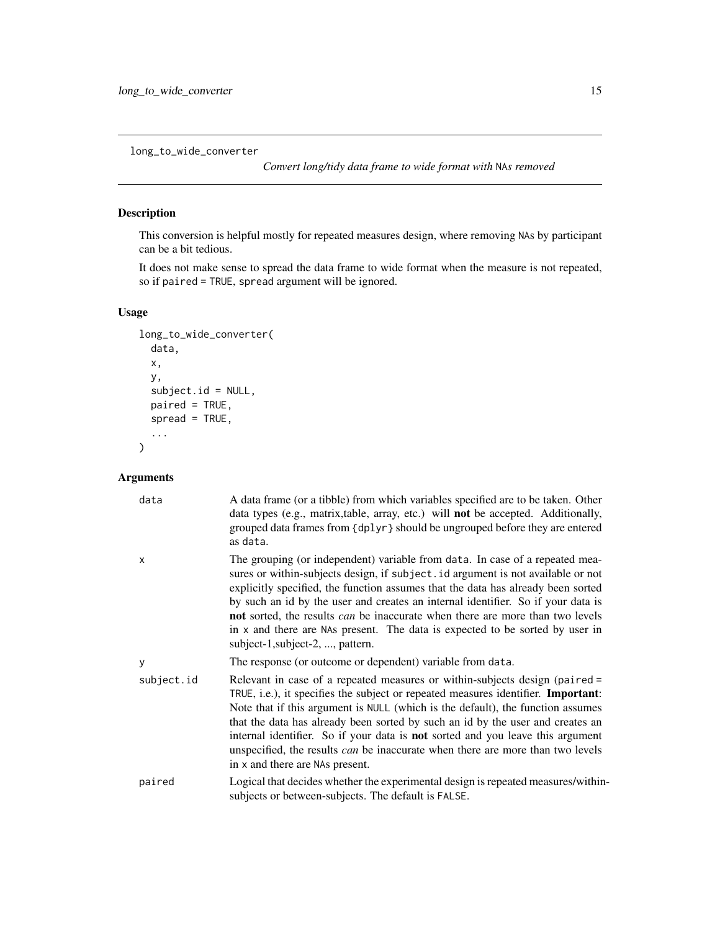<span id="page-14-0"></span>long\_to\_wide\_converter

*Convert long/tidy data frame to wide format with* NA*s removed*

# Description

This conversion is helpful mostly for repeated measures design, where removing NAs by participant can be a bit tedious.

It does not make sense to spread the data frame to wide format when the measure is not repeated, so if paired = TRUE, spread argument will be ignored.

#### Usage

```
long_to_wide_converter(
  data,
  x,
  y,
  subject.id = NULL,
  paired = TRUE,
  spread = TRUE,...
\mathcal{L}
```

| data         | A data frame (or a tibble) from which variables specified are to be taken. Other<br>data types (e.g., matrix, table, array, etc.) will <b>not</b> be accepted. Additionally,<br>grouped data frames from {dp1yr} should be ungrouped before they are entered<br>as data.                                                                                                                                                                                                                                                                              |
|--------------|-------------------------------------------------------------------------------------------------------------------------------------------------------------------------------------------------------------------------------------------------------------------------------------------------------------------------------------------------------------------------------------------------------------------------------------------------------------------------------------------------------------------------------------------------------|
| $\mathsf{x}$ | The grouping (or independent) variable from data. In case of a repeated mea-<br>sures or within-subjects design, if subject . id argument is not available or not<br>explicitly specified, the function assumes that the data has already been sorted<br>by such an id by the user and creates an internal identifier. So if your data is<br>not sorted, the results <i>can</i> be inaccurate when there are more than two levels<br>in x and there are NAs present. The data is expected to be sorted by user in<br>subject-1, subject-2, , pattern. |
| y            | The response (or outcome or dependent) variable from data.                                                                                                                                                                                                                                                                                                                                                                                                                                                                                            |
| subject.id   | Relevant in case of a repeated measures or within-subjects design (paired =<br>TRUE, i.e.), it specifies the subject or repeated measures identifier. Important:<br>Note that if this argument is NULL (which is the default), the function assumes<br>that the data has already been sorted by such an id by the user and creates an<br>internal identifier. So if your data is not sorted and you leave this argument<br>unspecified, the results <i>can</i> be inaccurate when there are more than two levels<br>in x and there are NAs present.   |
| paired       | Logical that decides whether the experimental design is repeated measures/within-<br>subjects or between-subjects. The default is FALSE.                                                                                                                                                                                                                                                                                                                                                                                                              |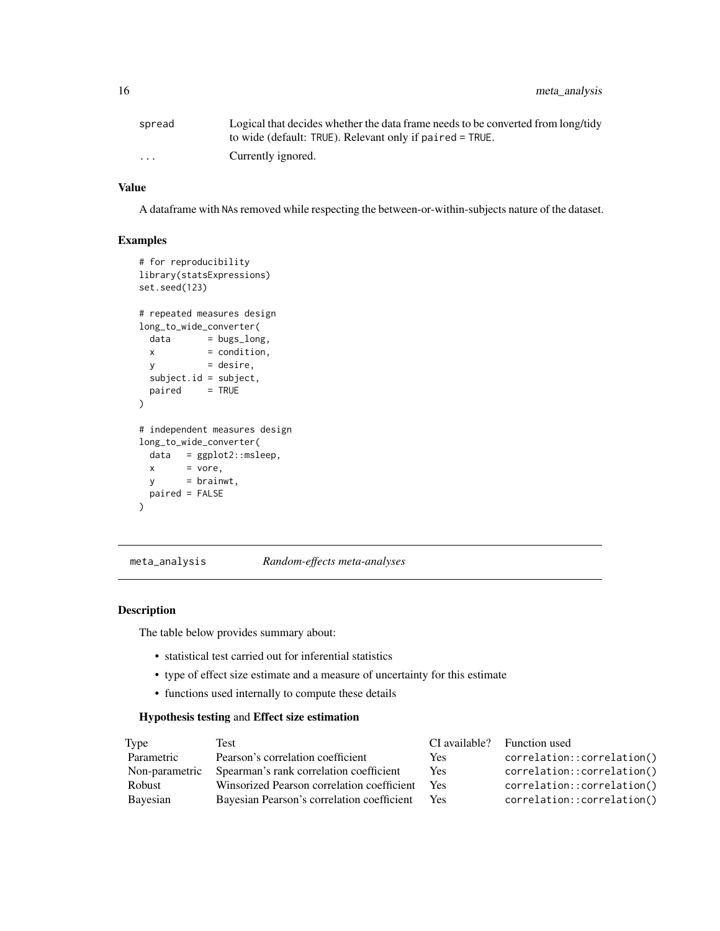<span id="page-15-0"></span>16 meta\_analysis

| spread                  | Logical that decides whether the data frame needs to be converted from long/tidy |
|-------------------------|----------------------------------------------------------------------------------|
|                         | to wide (default: TRUE). Relevant only if $\text{paired} = \text{TRUE}$ .        |
| $\cdot$ $\cdot$ $\cdot$ | Currently ignored.                                                               |

# Value

A dataframe with NAs removed while respecting the between-or-within-subjects nature of the dataset.

#### Examples

```
# for reproducibility
library(statsExpressions)
set.seed(123)
# repeated measures design
long_to_wide_converter(
 data = bugs\_long,x = condition,y = desire,subject.id = subject,
 paired = TRUE)
# independent measures design
long_to_wide_converter(
 data = ggplot2::msleep,
 x = vore,y = brainwt,
 paired = FALSE
\lambda
```
meta\_analysis *Random-effects meta-analyses*

#### Description

The table below provides summary about:

- statistical test carried out for inferential statistics
- type of effect size estimate and a measure of uncertainty for this estimate
- functions used internally to compute these details

#### Hypothesis testing and Effect size estimation

| Type           | Test                                       |            | CI available? Function used |
|----------------|--------------------------------------------|------------|-----------------------------|
| Parametric     | Pearson's correlation coefficient          | Yes        | correlation::correlation()  |
| Non-parametric | Spearman's rank correlation coefficient    | Yes        | correlation::correlation()  |
| <b>Robust</b>  | Winsorized Pearson correlation coefficient | Yes        | correlation::correlation()  |
| Bayesian       | Bayesian Pearson's correlation coefficient | <b>Yes</b> | correlation::correlation()  |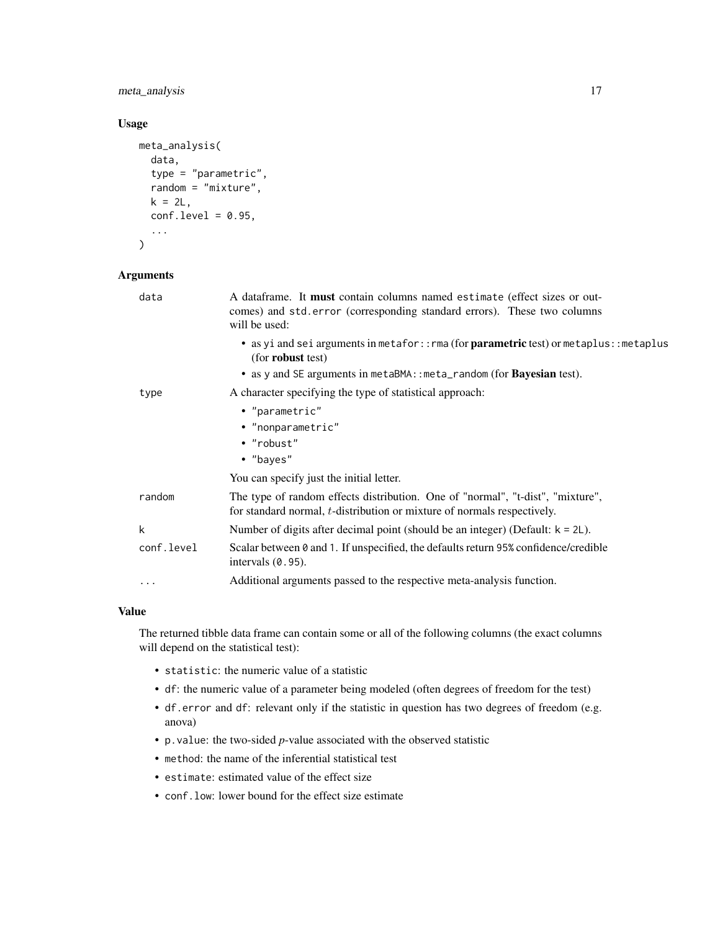#### meta\_analysis 17

#### Usage

```
meta_analysis(
  data,
  type = "parametric",
  random = "mixture",
  k = 2L,
  conf. level = 0.95,...
\mathcal{L}
```
#### Arguments

| data       | A dataframe. It <b>must</b> contain columns named estimate (effect sizes or out-<br>comes) and std. error (corresponding standard errors). These two columns<br>will be used: |
|------------|-------------------------------------------------------------------------------------------------------------------------------------------------------------------------------|
|            | • as yi and sei arguments in metafor:: rma (for parametric test) or metaplus:: metaplus<br>(for <b>robust</b> test)                                                           |
|            | • as y and SE arguments in metaBMA:: meta_random (for <b>Bayesian</b> test).                                                                                                  |
| type       | A character specifying the type of statistical approach:                                                                                                                      |
|            | • "parametric"                                                                                                                                                                |
|            | · "nonparametric"                                                                                                                                                             |
|            | • "robust"                                                                                                                                                                    |
|            | • "bayes"                                                                                                                                                                     |
|            | You can specify just the initial letter.                                                                                                                                      |
| random     | The type of random effects distribution. One of "normal", "t-dist", "mixture",<br>for standard normal, <i>t</i> -distribution or mixture of normals respectively.             |
| k          | Number of digits after decimal point (should be an integer) (Default: $k = 2L$ ).                                                                                             |
| conf.level | Scalar between 0 and 1. If unspecified, the defaults return 95% confidence/credible<br>intervals $(0.95)$ .                                                                   |
| $\cdots$   | Additional arguments passed to the respective meta-analysis function.                                                                                                         |

#### Value

The returned tibble data frame can contain some or all of the following columns (the exact columns will depend on the statistical test):

- statistic: the numeric value of a statistic
- df: the numeric value of a parameter being modeled (often degrees of freedom for the test)
- df.error and df: relevant only if the statistic in question has two degrees of freedom (e.g. anova)
- p.value: the two-sided *p*-value associated with the observed statistic
- method: the name of the inferential statistical test
- estimate: estimated value of the effect size
- conf.low: lower bound for the effect size estimate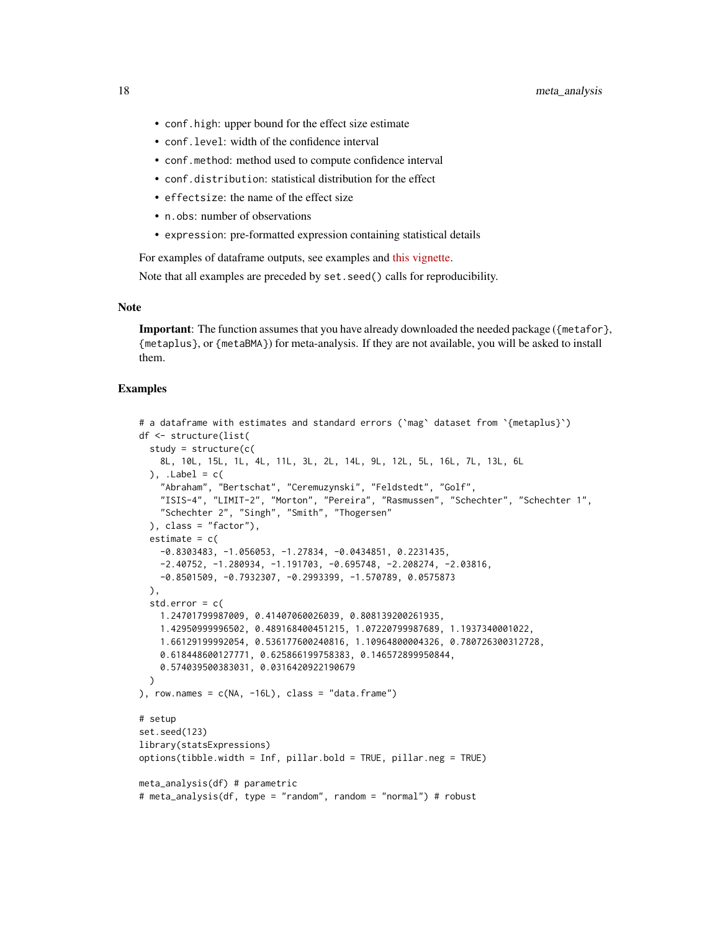- conf.high: upper bound for the effect size estimate
- conf.level: width of the confidence interval
- conf.method: method used to compute confidence interval
- conf.distribution: statistical distribution for the effect
- effectsize: the name of the effect size
- n.obs: number of observations
- expression: pre-formatted expression containing statistical details

For examples of dataframe outputs, see examples and [this vignette.](https://indrajeetpatil.github.io/statsExpressions/articles/web_only/dataframe_outputs.html)

Note that all examples are preceded by set.seed() calls for reproducibility.

#### Note

Important: The function assumes that you have already downloaded the needed package ({metafor}, {metaplus}, or {metaBMA}) for meta-analysis. If they are not available, you will be asked to install them.

```
# a dataframe with estimates and standard errors (`mag` dataset from `{metaplus}`)
df <- structure(list(
 study = structure(c(
   8L, 10L, 15L, 1L, 4L, 11L, 3L, 2L, 14L, 9L, 12L, 5L, 16L, 7L, 13L, 6L
  ), . Label = c(
    "Abraham", "Bertschat", "Ceremuzynski", "Feldstedt", "Golf",
    "ISIS-4", "LIMIT-2", "Morton", "Pereira", "Rasmussen", "Schechter", "Schechter 1",
    "Schechter 2", "Singh", "Smith", "Thogersen"
  ), class = "factor"),
  estimate = c(-0.8303483, -1.056053, -1.27834, -0.0434851, 0.2231435,-2.40752, -1.280934, -1.191703, -0.695748, -2.208274, -2.03816,-0.8501509, -0.7932307, -0.2993399, -1.570789, 0.0575873
  ),
  std.error = c(
   1.24701799987009, 0.41407060026039, 0.808139200261935,
    1.42950999996502, 0.489168400451215, 1.07220799987689, 1.1937340001022,
   1.66129199992054, 0.536177600240816, 1.10964800004326, 0.780726300312728,
    0.618448600127771, 0.625866199758383, 0.146572899950844,
    0.574039500383031, 0.0316420922190679
  \lambda), row.names = c(NA, -16L), class = "data.frame")
# setup
set.seed(123)
library(statsExpressions)
options(tibble.width = Inf, pillar.bold = TRUE, pillar.neg = TRUE)
meta_analysis(df) # parametric
# meta_analysis(df, type = "random", random = "normal") # robust
```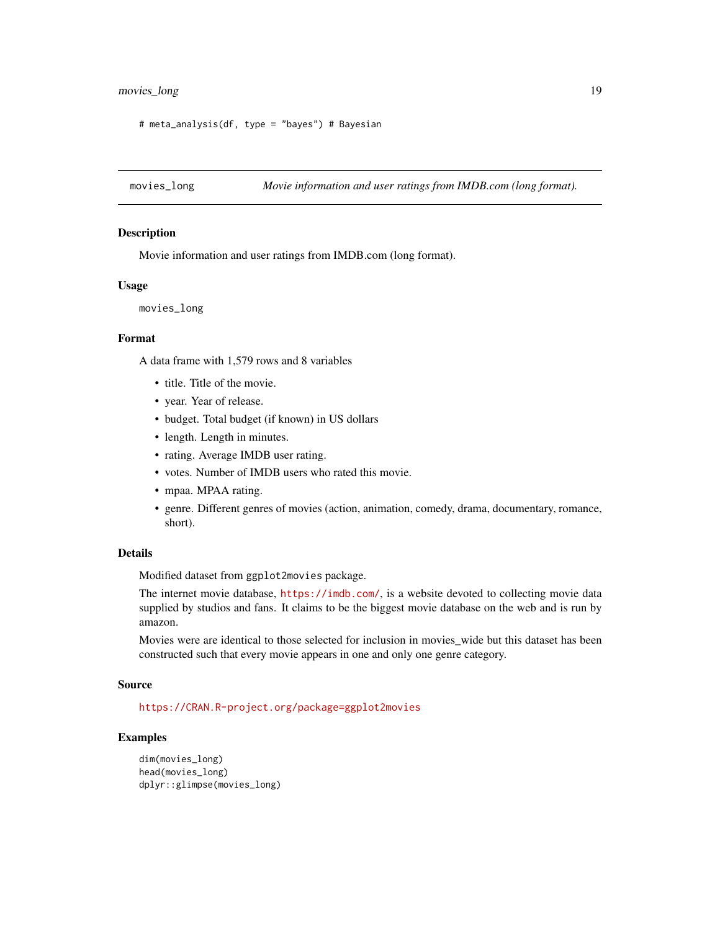#### <span id="page-18-0"></span>movies\_long 19

# meta\_analysis(df, type = "bayes") # Bayesian

movies\_long *Movie information and user ratings from IMDB.com (long format).*

#### Description

Movie information and user ratings from IMDB.com (long format).

#### Usage

movies\_long

#### Format

A data frame with 1,579 rows and 8 variables

- title. Title of the movie.
- year. Year of release.
- budget. Total budget (if known) in US dollars
- length. Length in minutes.
- rating. Average IMDB user rating.
- votes. Number of IMDB users who rated this movie.
- mpaa. MPAA rating.
- genre. Different genres of movies (action, animation, comedy, drama, documentary, romance, short).

#### Details

Modified dataset from ggplot2movies package.

The internet movie database, <https://imdb.com/>, is a website devoted to collecting movie data supplied by studios and fans. It claims to be the biggest movie database on the web and is run by amazon.

Movies were are identical to those selected for inclusion in movies\_wide but this dataset has been constructed such that every movie appears in one and only one genre category.

#### Source

<https://CRAN.R-project.org/package=ggplot2movies>

```
dim(movies_long)
head(movies_long)
dplyr::glimpse(movies_long)
```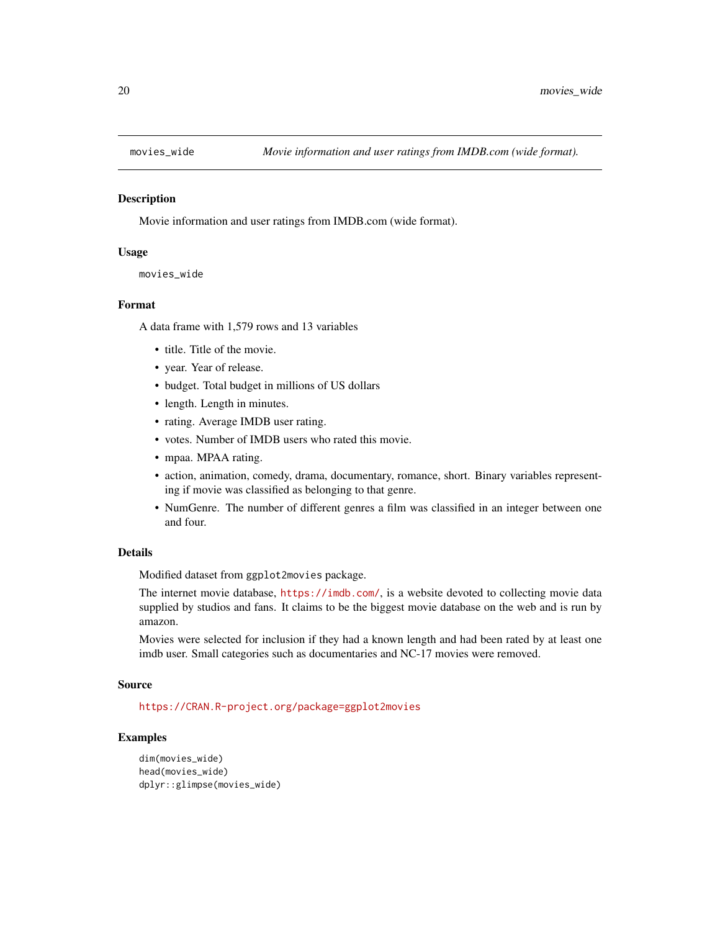<span id="page-19-0"></span>

#### Description

Movie information and user ratings from IMDB.com (wide format).

#### Usage

```
movies_wide
```
#### Format

A data frame with 1,579 rows and 13 variables

- title. Title of the movie.
- year. Year of release.
- budget. Total budget in millions of US dollars
- length. Length in minutes.
- rating. Average IMDB user rating.
- votes. Number of IMDB users who rated this movie.
- mpaa. MPAA rating.
- action, animation, comedy, drama, documentary, romance, short. Binary variables representing if movie was classified as belonging to that genre.
- NumGenre. The number of different genres a film was classified in an integer between one and four.

#### Details

Modified dataset from ggplot2movies package.

The internet movie database, <https://imdb.com/>, is a website devoted to collecting movie data supplied by studios and fans. It claims to be the biggest movie database on the web and is run by amazon.

Movies were selected for inclusion if they had a known length and had been rated by at least one imdb user. Small categories such as documentaries and NC-17 movies were removed.

#### Source

<https://CRAN.R-project.org/package=ggplot2movies>

```
dim(movies_wide)
head(movies_wide)
dplyr::glimpse(movies_wide)
```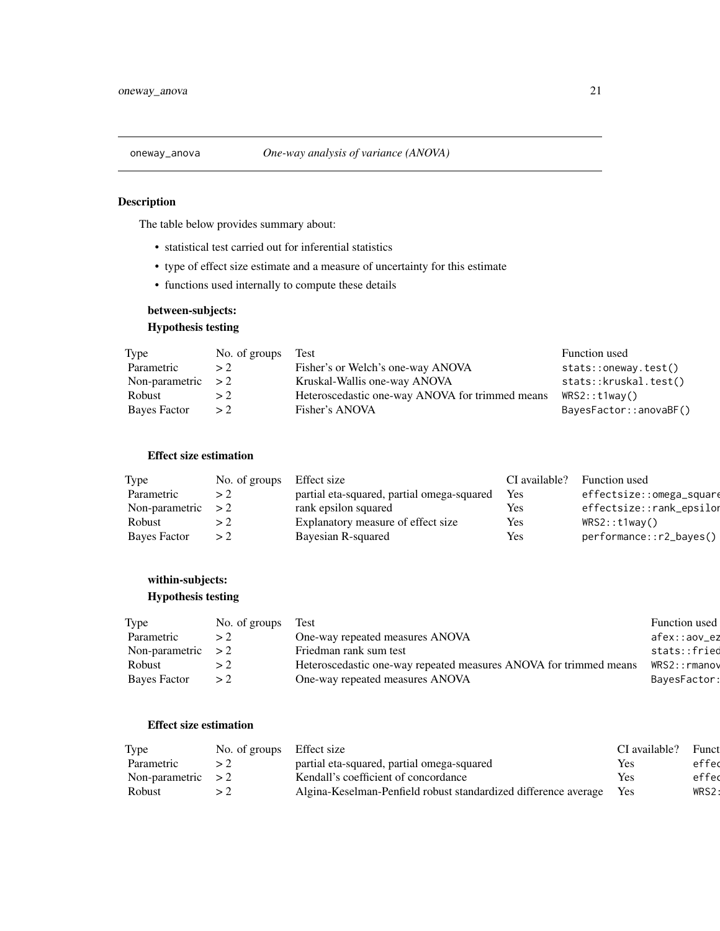#### <span id="page-20-0"></span>Description

The table below provides summary about:

- statistical test carried out for inferential statistics
- type of effect size estimate and a measure of uncertainty for this estimate
- functions used internally to compute these details

# between-subjects: Hypothesis testing

| Type                | No. of groups | Test                                            | Function used          |
|---------------------|---------------|-------------------------------------------------|------------------------|
| Parametric          | > 2           | Fisher's or Welch's one-way ANOVA               | stats::oneway.test()   |
| Non-parametric $>2$ |               | Kruskal-Wallis one-way ANOVA                    | stats::kruskal.test()  |
| Robust              | > 2           | Heteroscedastic one-way ANOVA for trimmed means | WRS2::t1way()          |
| <b>Bayes Factor</b> | > 2           | Fisher's ANOVA                                  | BayesFactor::anovaBF() |

#### Effect size estimation

| Type                | No. of groups | Effect size                                | CI available? | Function used            |
|---------------------|---------------|--------------------------------------------|---------------|--------------------------|
| Parametric          |               | partial eta-squared, partial omega-squared | Yes           | effectsize::omega_square |
| Non-parametric      |               | rank epsilon squared                       | Yes           | effectsize::rank_epsilor |
| Robust              |               | Explanatory measure of effect size         | Yes           | WRS2::t1way()            |
| <b>Bayes Factor</b> |               | Bayesian R-squared                         | Yes           | performance::r2_bayes()  |

# within-subjects: Hypothesis testing

| Type                 | No. of groups | Test                                                              | Function used |
|----------------------|---------------|-------------------------------------------------------------------|---------------|
| Parametric           |               | One-way repeated measures ANOVA                                   | afex::aov_ez  |
| Non-parametric $> 2$ |               | Friedman rank sum test                                            | stats::fried  |
| Robust               |               | Heteroscedastic one-way repeated measures ANOVA for trimmed means | WRS2::rmanov  |
| Bayes Factor         |               | One-way repeated measures ANOVA                                   | BayesFactor:  |

# Effect size estimation

| Type           | No. of groups | Effect size                                                     | $\mathcal{I}$ available? | Funct |
|----------------|---------------|-----------------------------------------------------------------|--------------------------|-------|
| Parametric     |               | partial eta-squared, partial omega-squared                      | Ye.                      | effed |
| Non-parametric |               | Kendall's coefficient of concordance                            | $V_{\rm PL}$             | effed |
| Robust         |               | Algina-Keselman-Penfield robust standardized difference average | <b>Yes</b>               | WRS2: |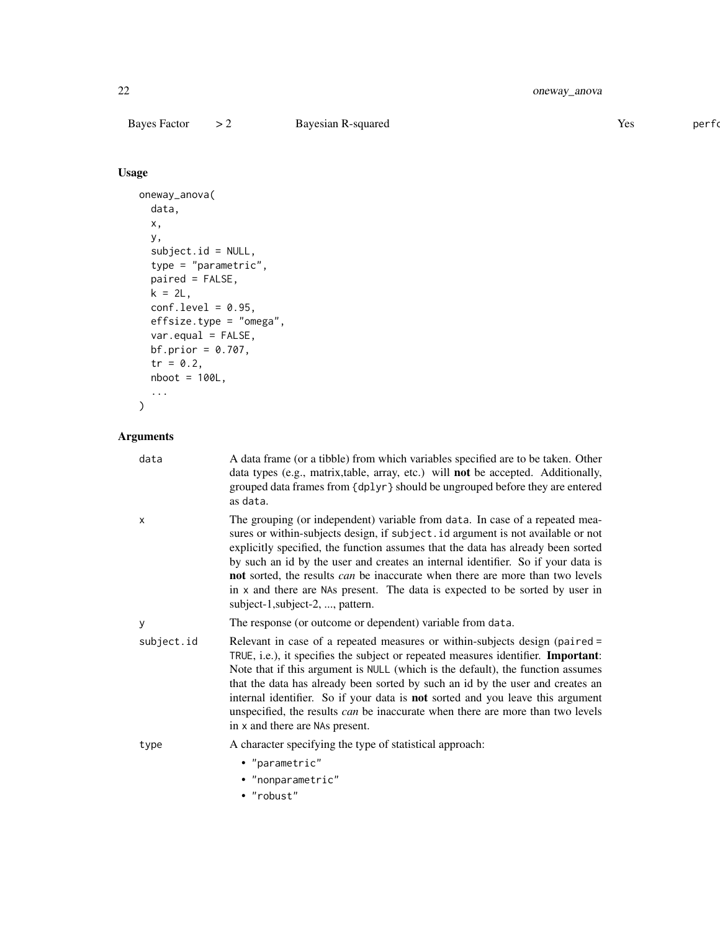Bayes Factor  $> 2$  Bayesian R-squared Yes performance:

# Usage

```
oneway_anova(
  data,
  x,
  y,
  subject.id = NULL,
  type = "parametric",
  paired = FALSE,
  k = 2L,
  conf.level = 0.95,effsize.type = "omega",
  var.equal = FALSE,
  bf.prior = 0.707,
  tr = 0.2,nboot = 100L,
  ...
\mathcal{L}
```

| data       | A data frame (or a tibble) from which variables specified are to be taken. Other<br>data types (e.g., matrix, table, array, etc.) will not be accepted. Additionally,<br>grouped data frames from {dplyr} should be ungrouped before they are entered<br>as data.                                                                                                                                                                                                                                                                                           |
|------------|-------------------------------------------------------------------------------------------------------------------------------------------------------------------------------------------------------------------------------------------------------------------------------------------------------------------------------------------------------------------------------------------------------------------------------------------------------------------------------------------------------------------------------------------------------------|
| X          | The grouping (or independent) variable from data. In case of a repeated mea-<br>sures or within-subjects design, if subject. id argument is not available or not<br>explicitly specified, the function assumes that the data has already been sorted<br>by such an id by the user and creates an internal identifier. So if your data is<br><b>not</b> sorted, the results <i>can</i> be inaccurate when there are more than two levels<br>in x and there are NAs present. The data is expected to be sorted by user in<br>subject-1, subject-2, , pattern. |
| y          | The response (or outcome or dependent) variable from data.                                                                                                                                                                                                                                                                                                                                                                                                                                                                                                  |
| subject.id | Relevant in case of a repeated measures or within-subjects design (paired =<br>TRUE, i.e.), it specifies the subject or repeated measures identifier. Important:<br>Note that if this argument is NULL (which is the default), the function assumes<br>that the data has already been sorted by such an id by the user and creates an<br>internal identifier. So if your data is <b>not</b> sorted and you leave this argument<br>unspecified, the results can be inaccurate when there are more than two levels<br>in x and there are NAs present.         |
| type       | A character specifying the type of statistical approach:                                                                                                                                                                                                                                                                                                                                                                                                                                                                                                    |
|            | • "parametric"<br>· "nonparametric"<br>• "robust"                                                                                                                                                                                                                                                                                                                                                                                                                                                                                                           |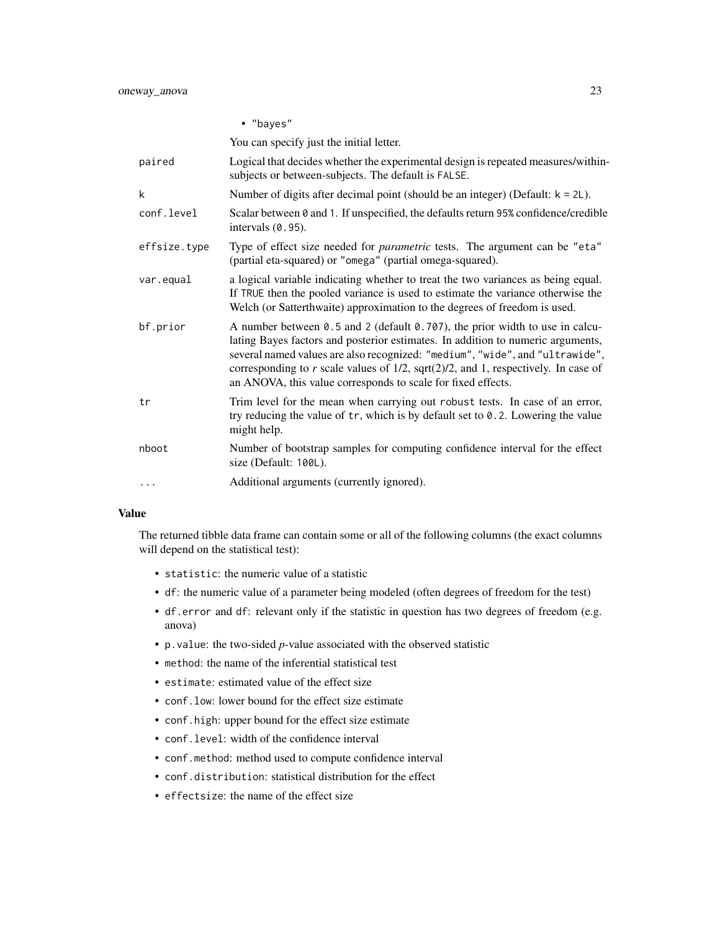|              | • "bayes"                                                                                                                                                                                                                                                                                                                                                                                                           |
|--------------|---------------------------------------------------------------------------------------------------------------------------------------------------------------------------------------------------------------------------------------------------------------------------------------------------------------------------------------------------------------------------------------------------------------------|
|              | You can specify just the initial letter.                                                                                                                                                                                                                                                                                                                                                                            |
| paired       | Logical that decides whether the experimental design is repeated measures/within-<br>subjects or between-subjects. The default is FALSE.                                                                                                                                                                                                                                                                            |
| k            | Number of digits after decimal point (should be an integer) (Default: $k = 2L$ ).                                                                                                                                                                                                                                                                                                                                   |
| conf.level   | Scalar between 0 and 1. If unspecified, the defaults return 95% confidence/credible<br>intervals $(0.95)$ .                                                                                                                                                                                                                                                                                                         |
| effsize.type | Type of effect size needed for <i>parametric</i> tests. The argument can be "eta"<br>(partial eta-squared) or "omega" (partial omega-squared).                                                                                                                                                                                                                                                                      |
| var.equal    | a logical variable indicating whether to treat the two variances as being equal.<br>If TRUE then the pooled variance is used to estimate the variance otherwise the<br>Welch (or Satterthwaite) approximation to the degrees of freedom is used.                                                                                                                                                                    |
| bf.prior     | A number between $0.5$ and 2 (default $0.707$ ), the prior width to use in calcu-<br>lating Bayes factors and posterior estimates. In addition to numeric arguments,<br>several named values are also recognized: "medium", "wide", and "ultrawide",<br>corresponding to $r$ scale values of $1/2$ , sqrt $(2)/2$ , and 1, respectively. In case of<br>an ANOVA, this value corresponds to scale for fixed effects. |
| tr           | Trim level for the mean when carrying out robust tests. In case of an error,<br>try reducing the value of $tr$ , which is by default set to 0.2. Lowering the value<br>might help.                                                                                                                                                                                                                                  |
| nboot        | Number of bootstrap samples for computing confidence interval for the effect<br>size (Default: 100L).                                                                                                                                                                                                                                                                                                               |
| $\cdots$     | Additional arguments (currently ignored).                                                                                                                                                                                                                                                                                                                                                                           |
|              |                                                                                                                                                                                                                                                                                                                                                                                                                     |

#### Value

The returned tibble data frame can contain some or all of the following columns (the exact columns will depend on the statistical test):

- statistic: the numeric value of a statistic
- df: the numeric value of a parameter being modeled (often degrees of freedom for the test)
- df.error and df: relevant only if the statistic in question has two degrees of freedom (e.g. anova)
- p.value: the two-sided *p*-value associated with the observed statistic
- method: the name of the inferential statistical test
- estimate: estimated value of the effect size
- conf.low: lower bound for the effect size estimate
- conf.high: upper bound for the effect size estimate
- conf.level: width of the confidence interval
- conf.method: method used to compute confidence interval
- conf.distribution: statistical distribution for the effect
- effectsize: the name of the effect size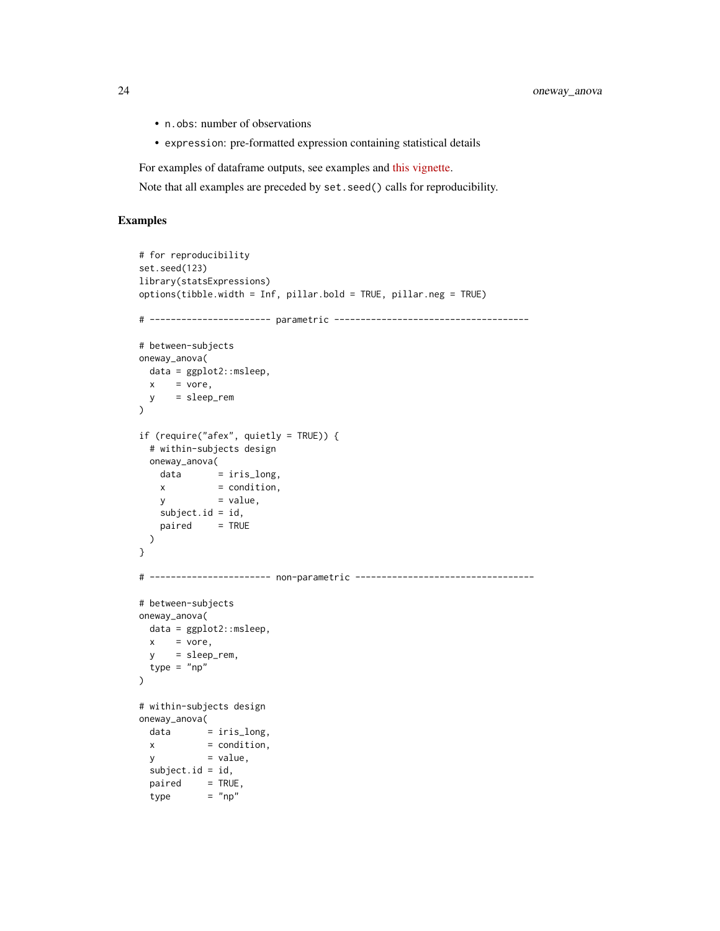- n.obs: number of observations
- expression: pre-formatted expression containing statistical details

For examples of dataframe outputs, see examples and [this vignette.](https://indrajeetpatil.github.io/statsExpressions/articles/web_only/dataframe_outputs.html)

Note that all examples are preceded by set.seed() calls for reproducibility.

```
# for reproducibility
set.seed(123)
library(statsExpressions)
options(tibble.width = Inf, pillar.bold = TRUE, pillar.neg = TRUE)
# ----------------------- parametric -------------------------------------
# between-subjects
oneway_anova(
 data = ggplot2::msleep,
 x = vore,
 y = sleep_rem
)
if (require("afex", quietly = TRUE)) {
 # within-subjects design
 oneway_anova(
   data = iris\_long,x = condition,y = value,subject.id = id,paired = TRUE)
}
# ----------------------- non-parametric ----------------------------------
# between-subjects
oneway_anova(
 data = ggplot2::msleep,
 x = vore,
 y = sleep_rem,
 type = "np"\mathcal{L}# within-subjects design
oneway_anova(
 data = iris\_long,x = condition,y = value,
 subject.id = id,
 paired = TRUE,
 type = "np"
```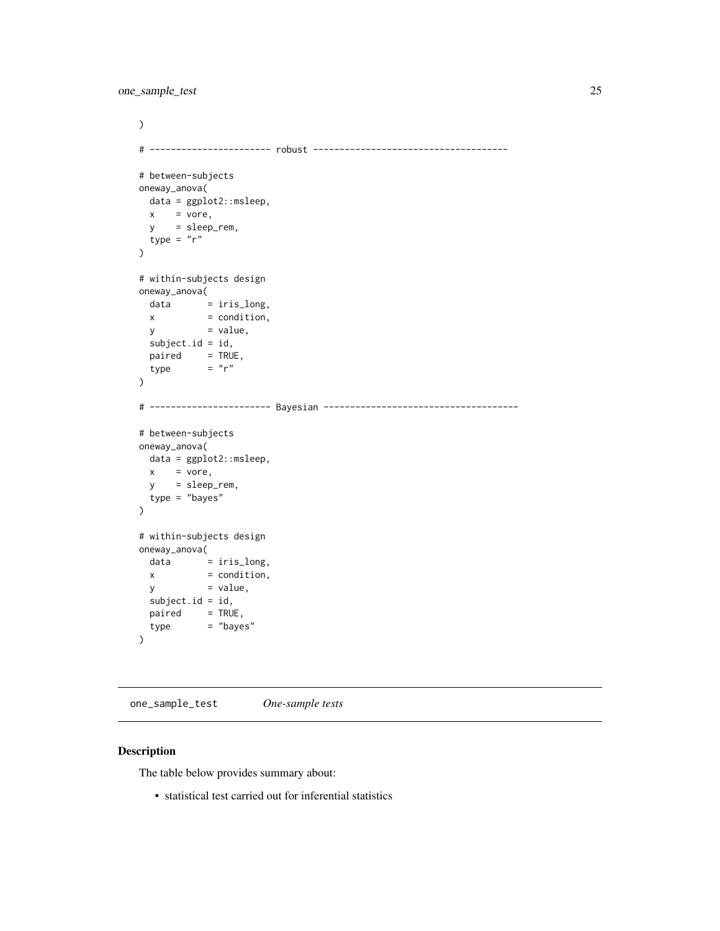<span id="page-24-0"></span>one\_sample\_test 25

```
\mathcal{L}# ----------------------- robust -------------------------------------
# between-subjects
oneway_anova(
 data = ggplot2::msleep,
 x = vore,
 y = sleep_rem,
 type = "r")
# within-subjects design
oneway_anova(
 data = iris\_long,x = condition,y = value,subject.id = id,
 paired = TRUE,
 type = "r")
# ----------------------- Bayesian -------------------------------------
# between-subjects
oneway_anova(
 data = ggplot2::msleep,
 x = vore,
 y = sleep_rem,
 type = "bayes"
\mathcal{L}# within-subjects design
oneway_anova(
 data = iris\_long,x = condition,y = value,subject.id = id,
 paired = TRUE,type = "bayes"\mathcal{L}
```
one\_sample\_test *One-sample tests*

#### Description

The table below provides summary about:

• statistical test carried out for inferential statistics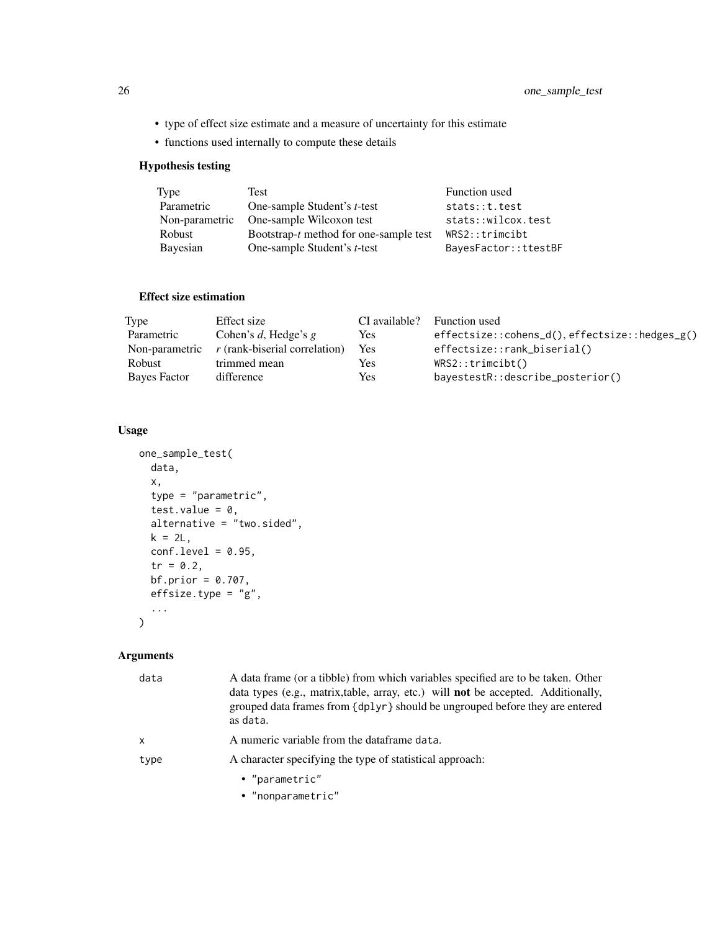- type of effect size estimate and a measure of uncertainty for this estimate
- functions used internally to compute these details

#### Hypothesis testing

| Type            | Test                                           | Function used        |
|-----------------|------------------------------------------------|----------------------|
| Parametric      | One-sample Student's <i>t</i> -test            | stats::t.test        |
| Non-parametric  | One-sample Wilcoxon test                       | stats::wilcox.test   |
| Robust          | Bootstrap- <i>t</i> method for one-sample test | WRS2:trimcibt        |
| <b>Bayesian</b> | One-sample Student's <i>t</i> -test            | BayesFactor::ttestBF |

#### Effect size estimation

| Type           | Effect size                     | CI available? | Function used                                        |
|----------------|---------------------------------|---------------|------------------------------------------------------|
| Parametric     | Cohen's d, Hedge's g            | Yes           | $effectsize::cohens_d()$ , effectsize:: $hedges_g()$ |
| Non-parametric | $r$ (rank-biserial correlation) | Yes           | effectsize::rank_biserial()                          |
| Robust         | trimmed mean                    | Yes.          | WRS2::trimcibt()                                     |
| Bayes Factor   | difference                      | Yes           | bayestestR::describe_posterior()                     |

# Usage

```
one_sample_test(
 data,
  x,
  type = "parametric",
  test.value = 0,
 alternative = "two.sided",
 k = 2L,
 conf. level = 0.95,tr = 0.2,
 bf.prior = 0.707,
 effsize.type = "g",
  ...
\mathcal{L}
```

| data | A data frame (or a tibble) from which variables specified are to be taken. Other<br>data types (e.g., matrix, table, array, etc.) will <b>not</b> be accepted. Additionally,<br>grouped data frames from {dplyr} should be ungrouped before they are entered<br>as data. |
|------|--------------------------------------------------------------------------------------------------------------------------------------------------------------------------------------------------------------------------------------------------------------------------|
| x    | A numeric variable from the dataframe data.                                                                                                                                                                                                                              |
| type | A character specifying the type of statistical approach:                                                                                                                                                                                                                 |
|      | • "parametric"                                                                                                                                                                                                                                                           |
|      | • "nonparametric"                                                                                                                                                                                                                                                        |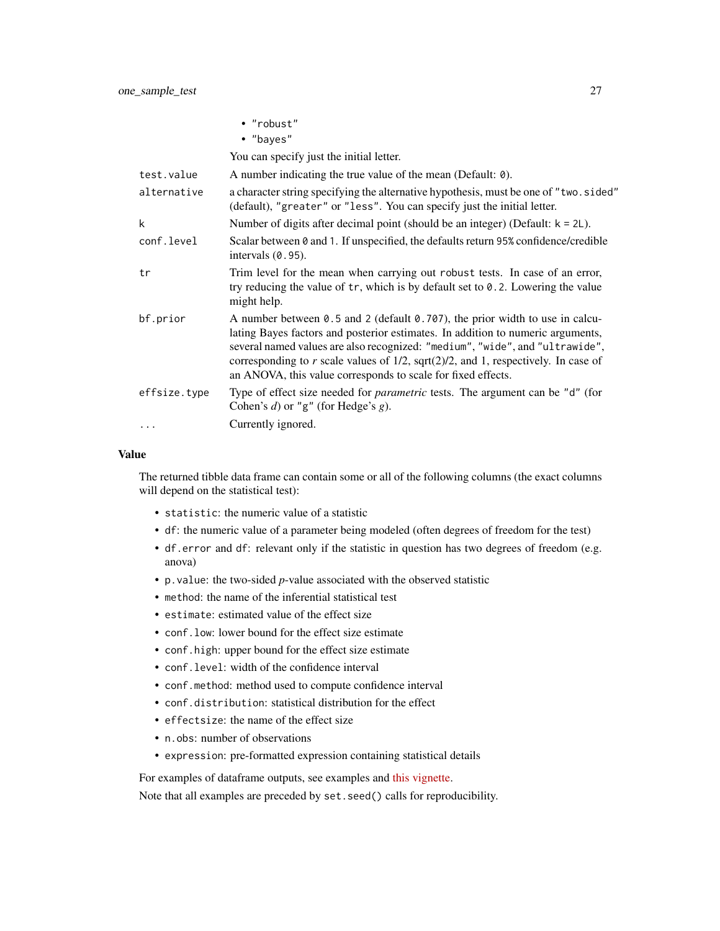|              | • "robust"                                                                                                                                                                                                                                                                                                                                                                                                        |
|--------------|-------------------------------------------------------------------------------------------------------------------------------------------------------------------------------------------------------------------------------------------------------------------------------------------------------------------------------------------------------------------------------------------------------------------|
|              | • "bayes"                                                                                                                                                                                                                                                                                                                                                                                                         |
|              | You can specify just the initial letter.                                                                                                                                                                                                                                                                                                                                                                          |
| test.value   | A number indicating the true value of the mean (Default: 0).                                                                                                                                                                                                                                                                                                                                                      |
| alternative  | a character string specifying the alternative hypothesis, must be one of "two.sided"<br>(default), "greater" or "less". You can specify just the initial letter.                                                                                                                                                                                                                                                  |
| k            | Number of digits after decimal point (should be an integer) (Default: $k = 2L$ ).                                                                                                                                                                                                                                                                                                                                 |
| conf.level   | Scalar between 0 and 1. If unspecified, the defaults return 95% confidence/credible<br>intervals $(0.95)$ .                                                                                                                                                                                                                                                                                                       |
| tr           | Trim level for the mean when carrying out robust tests. In case of an error,<br>try reducing the value of tr, which is by default set to 0.2. Lowering the value<br>might help.                                                                                                                                                                                                                                   |
| bf.prior     | A number between $0.5$ and 2 (default $0.707$ ), the prior width to use in calcu-<br>lating Bayes factors and posterior estimates. In addition to numeric arguments,<br>several named values are also recognized: "medium", "wide", and "ultrawide",<br>corresponding to r scale values of $1/2$ , sqrt $(2)/2$ , and 1, respectively. In case of<br>an ANOVA, this value corresponds to scale for fixed effects. |
| effsize.type | Type of effect size needed for <i>parametric</i> tests. The argument can be "d" (for<br>Cohen's $d$ ) or "g" (for Hedge's $g$ ).                                                                                                                                                                                                                                                                                  |
| .            | Currently ignored.                                                                                                                                                                                                                                                                                                                                                                                                |

#### Value

The returned tibble data frame can contain some or all of the following columns (the exact columns will depend on the statistical test):

- statistic: the numeric value of a statistic
- df: the numeric value of a parameter being modeled (often degrees of freedom for the test)
- df.error and df: relevant only if the statistic in question has two degrees of freedom (e.g. anova)
- p.value: the two-sided *p*-value associated with the observed statistic
- method: the name of the inferential statistical test
- estimate: estimated value of the effect size
- conf.low: lower bound for the effect size estimate
- conf.high: upper bound for the effect size estimate
- conf.level: width of the confidence interval
- conf.method: method used to compute confidence interval
- conf.distribution: statistical distribution for the effect
- effectsize: the name of the effect size
- n.obs: number of observations
- expression: pre-formatted expression containing statistical details

For examples of dataframe outputs, see examples and [this vignette.](https://indrajeetpatil.github.io/statsExpressions/articles/web_only/dataframe_outputs.html)

Note that all examples are preceded by set.seed() calls for reproducibility.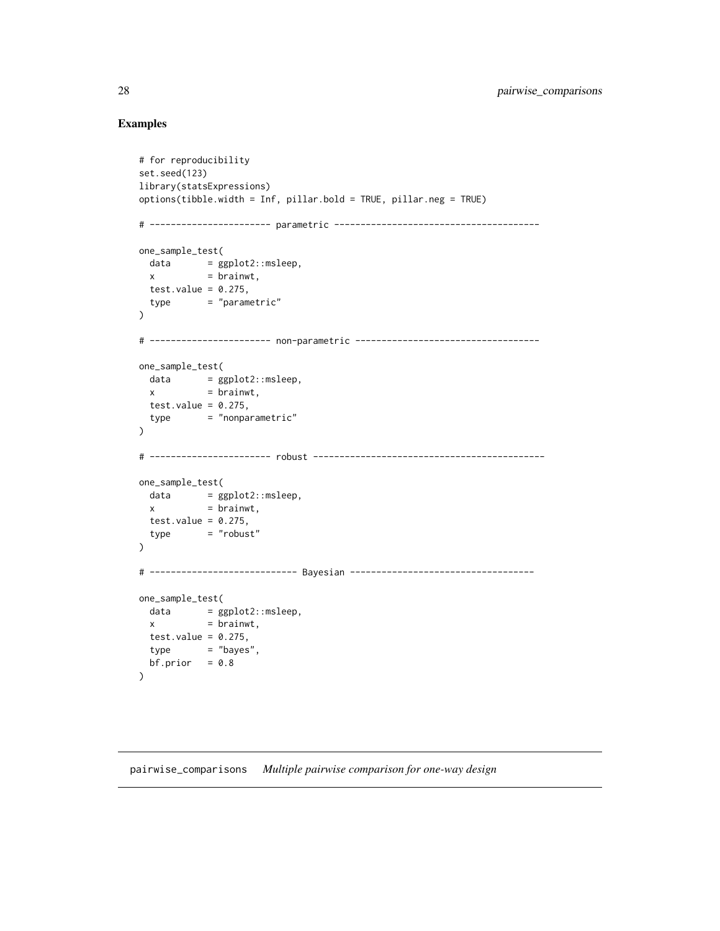#### Examples

```
# for reproducibility
set.seed(123)
library(statsExpressions)
options(tibble.width = Inf, pillar.bold = TRUE, pillar.neg = TRUE)
# ----------------------- parametric ---------------------------------------
one_sample_test(
 data = ggplot2::msleep,x = brainwt,test.value = 0.275,
 type = "parametric"
\lambda# ----------------------- non-parametric -----------------------------------
one_sample_test(
 data = ggplot2::msleep,
 x = brainwt,test.value = 0.275,
 type = "nonparametric"
)
# ----------------------- robust --------------------------------------------
one_sample_test(
  data = ggplot2::msleep,x = brainwt,test.value = 0.275,
 type = "robust")
# ---------------------------- Bayesian -----------------------------------
one_sample_test(
 data = ggplot2::msleep,x = brainwt,test.value = 0.275,
 type = "bayes",bf.prior = 0.8\mathcal{L}
```
pairwise\_comparisons *Multiple pairwise comparison for one-way design*

<span id="page-27-0"></span>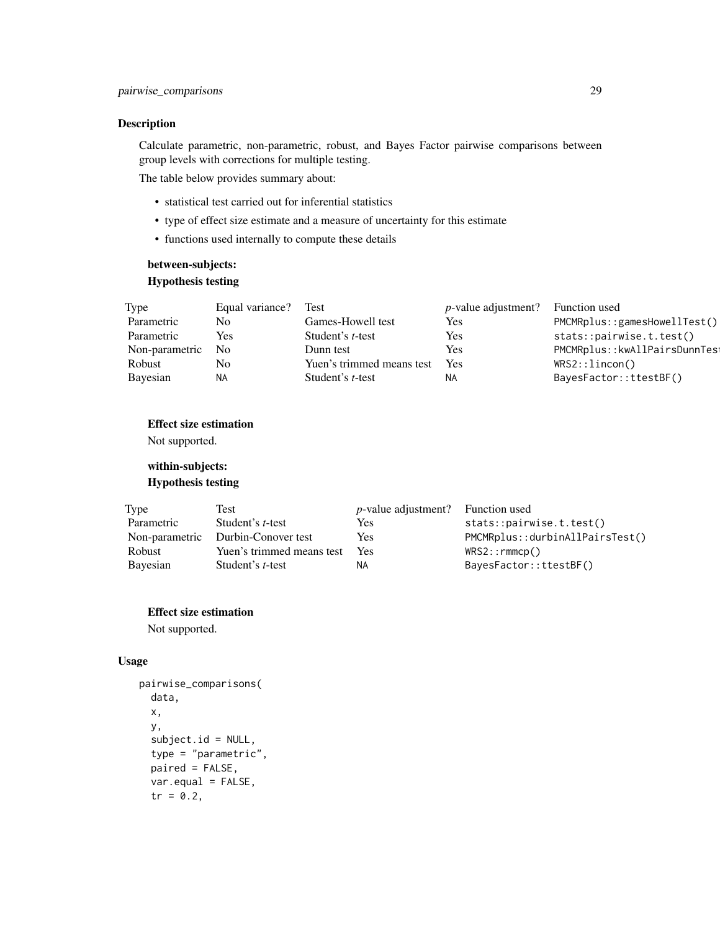#### Description

Calculate parametric, non-parametric, robust, and Bayes Factor pairwise comparisons between group levels with corrections for multiple testing.

The table below provides summary about:

- statistical test carried out for inferential statistics
- type of effect size estimate and a measure of uncertainty for this estimate
- functions used internally to compute these details

# between-subjects: Hypothesis testing

| Type           | Equal variance? | Test                      | <i>p</i> -value adjustment? | Function used                |
|----------------|-----------------|---------------------------|-----------------------------|------------------------------|
| Parametric     | No.             | Games-Howell test         | Yes                         | PMCMRplus::gamesHowellTest() |
| Parametric     | Yes             | Student's <i>t</i> -test  | Yes                         | stats::pairwise.t.test()     |
| Non-parametric | N <sub>0</sub>  | Dunn test                 | Yes                         | PMCMRplus::kwAllPairsDunnTes |
| Robust         | No.             | Yuen's trimmed means test | Yes                         | WRS2::lincon()               |
| Bayesian       | NA.             | Student's <i>t</i> -test  | ΝA                          | BayesFactor::ttestBF()       |

#### Effect size estimation

Not supported.

# within-subjects:

# Hypothesis testing

| Type           | Test                      | $p$ -value adjustment? Function used |                                 |
|----------------|---------------------------|--------------------------------------|---------------------------------|
| Parametric     | Student's <i>t</i> -test  | Yes                                  | stats::pairwise.t.test()        |
| Non-parametric | Durbin-Conover test       | Yes                                  | PMCMRplus::durbinAllPairsTest() |
| Robust         | Yuen's trimmed means test | Yes                                  | WRS2::rmmcp()                   |
| Bayesian       | Student's <i>t</i> -test  | ΝA                                   | BayesFactor::ttestBF()          |

#### Effect size estimation

Not supported.

# Usage

```
pairwise_comparisons(
  data,
  x,
 y,
  subject.id = NULL,
  type = "parametric",
  paired = FALSE,
  var.equal = FALSE,
  tr = 0.2,
```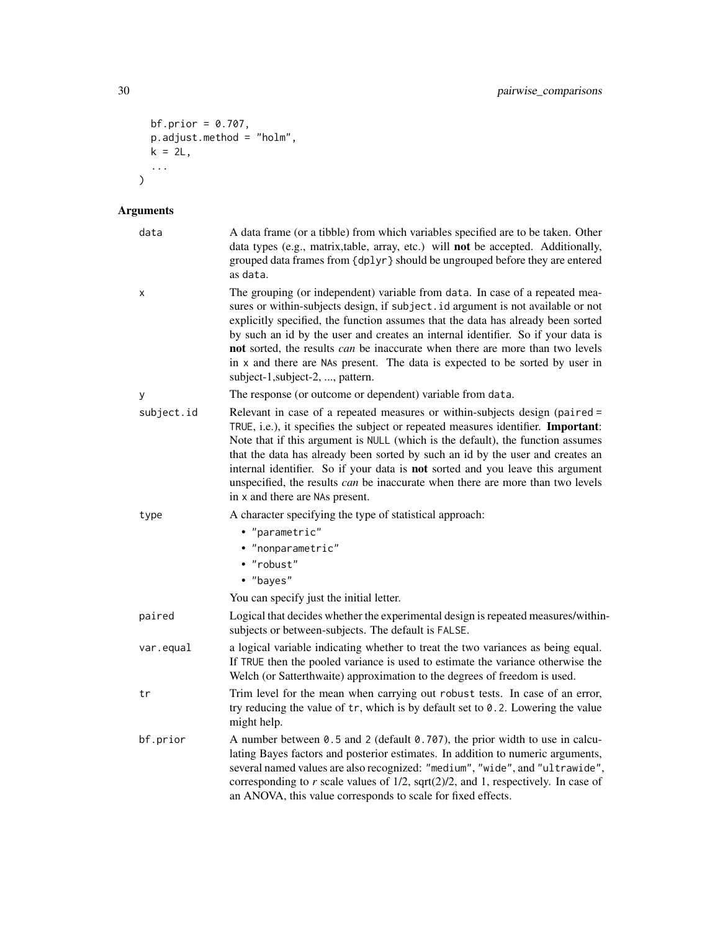```
bf.prior = 0.707,
  p.adjust.method = "holm",
 k = 2L,...
)
```

| data       | A data frame (or a tibble) from which variables specified are to be taken. Other<br>data types (e.g., matrix, table, array, etc.) will not be accepted. Additionally,<br>grouped data frames from {dplyr} should be ungrouped before they are entered<br>as data.                                                                                                                                                                                                                                                                                    |
|------------|------------------------------------------------------------------------------------------------------------------------------------------------------------------------------------------------------------------------------------------------------------------------------------------------------------------------------------------------------------------------------------------------------------------------------------------------------------------------------------------------------------------------------------------------------|
| х          | The grouping (or independent) variable from data. In case of a repeated mea-<br>sures or within-subjects design, if subject. id argument is not available or not<br>explicitly specified, the function assumes that the data has already been sorted<br>by such an id by the user and creates an internal identifier. So if your data is<br>not sorted, the results <i>can</i> be inaccurate when there are more than two levels<br>in x and there are NAs present. The data is expected to be sorted by user in<br>subject-1, subject-2, , pattern. |
| у          | The response (or outcome or dependent) variable from data.                                                                                                                                                                                                                                                                                                                                                                                                                                                                                           |
| subject.id | Relevant in case of a repeated measures or within-subjects design (paired =<br>TRUE, i.e.), it specifies the subject or repeated measures identifier. Important:<br>Note that if this argument is NULL (which is the default), the function assumes<br>that the data has already been sorted by such an id by the user and creates an<br>internal identifier. So if your data is not sorted and you leave this argument<br>unspecified, the results <i>can</i> be inaccurate when there are more than two levels<br>in x and there are NAs present.  |
| type       | A character specifying the type of statistical approach:                                                                                                                                                                                                                                                                                                                                                                                                                                                                                             |
|            | • "parametric"                                                                                                                                                                                                                                                                                                                                                                                                                                                                                                                                       |
|            | · "nonparametric"                                                                                                                                                                                                                                                                                                                                                                                                                                                                                                                                    |
|            | • "robust"                                                                                                                                                                                                                                                                                                                                                                                                                                                                                                                                           |
|            | • "bayes"                                                                                                                                                                                                                                                                                                                                                                                                                                                                                                                                            |
|            | You can specify just the initial letter.                                                                                                                                                                                                                                                                                                                                                                                                                                                                                                             |
| paired     | Logical that decides whether the experimental design is repeated measures/within-<br>subjects or between-subjects. The default is FALSE.                                                                                                                                                                                                                                                                                                                                                                                                             |
| var.equal  | a logical variable indicating whether to treat the two variances as being equal.<br>If TRUE then the pooled variance is used to estimate the variance otherwise the<br>Welch (or Satterthwaite) approximation to the degrees of freedom is used.                                                                                                                                                                                                                                                                                                     |
| tr         | Trim level for the mean when carrying out robust tests. In case of an error,<br>try reducing the value of tr, which is by default set to 0.2. Lowering the value<br>might help.                                                                                                                                                                                                                                                                                                                                                                      |
| bf.prior   | A number between 0.5 and 2 (default 0.707), the prior width to use in calcu-<br>lating Bayes factors and posterior estimates. In addition to numeric arguments,<br>several named values are also recognized: "medium", "wide", and "ultrawide",<br>corresponding to $r$ scale values of $1/2$ , sqrt $(2)/2$ , and 1, respectively. In case of<br>an ANOVA, this value corresponds to scale for fixed effects.                                                                                                                                       |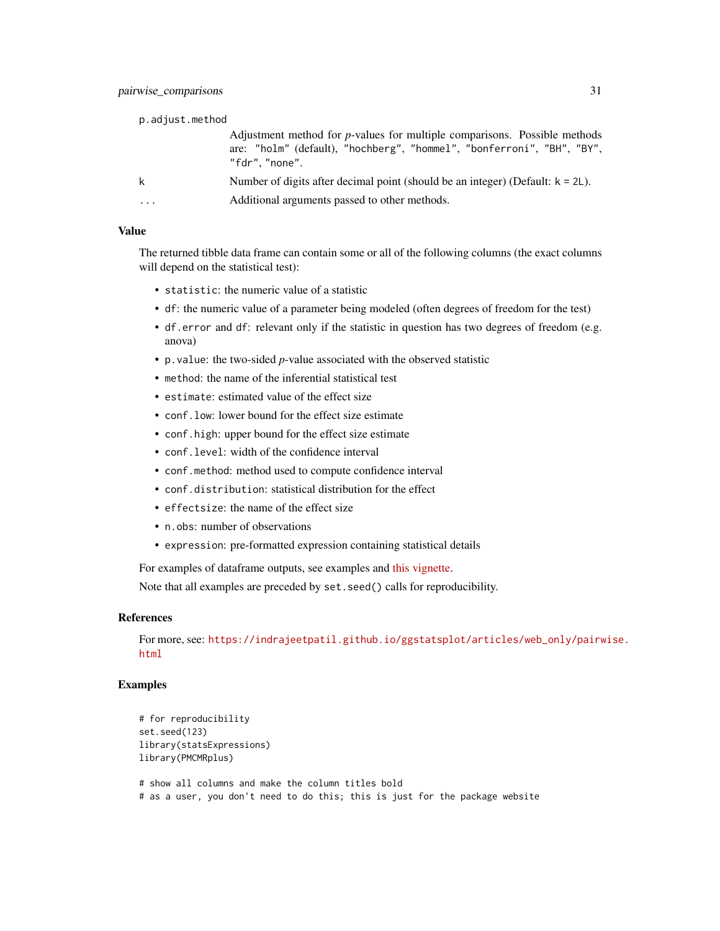| p.adjust.method                                                                                                                                                               |  |
|-------------------------------------------------------------------------------------------------------------------------------------------------------------------------------|--|
| Adjustment method for <i>p</i> -values for multiple comparisons. Possible methods<br>are: "holm" (default), "hochberg", "hommel", "bonferroni", "BH", "BY",<br>"fdr", "none". |  |
| Number of digits after decimal point (should be an integer) (Default: $k = 2L$ ).<br>k                                                                                        |  |
| Additional arguments passed to other methods.<br>.                                                                                                                            |  |

#### Value

The returned tibble data frame can contain some or all of the following columns (the exact columns will depend on the statistical test):

- statistic: the numeric value of a statistic
- df: the numeric value of a parameter being modeled (often degrees of freedom for the test)
- df.error and df: relevant only if the statistic in question has two degrees of freedom (e.g. anova)
- p.value: the two-sided *p*-value associated with the observed statistic
- method: the name of the inferential statistical test
- estimate: estimated value of the effect size
- conf.low: lower bound for the effect size estimate
- conf.high: upper bound for the effect size estimate
- conf.level: width of the confidence interval
- conf.method: method used to compute confidence interval
- conf.distribution: statistical distribution for the effect
- effectsize: the name of the effect size
- n.obs: number of observations
- expression: pre-formatted expression containing statistical details

For examples of dataframe outputs, see examples and [this vignette.](https://indrajeetpatil.github.io/statsExpressions/articles/web_only/dataframe_outputs.html)

Note that all examples are preceded by set.seed() calls for reproducibility.

#### References

For more, see: [https://indrajeetpatil.github.io/ggstatsplot/articles/web\\_only/pairw](https://indrajeetpatil.github.io/ggstatsplot/articles/web_only/pairwise.html)ise. [html](https://indrajeetpatil.github.io/ggstatsplot/articles/web_only/pairwise.html)

```
# for reproducibility
set.seed(123)
library(statsExpressions)
library(PMCMRplus)
# show all columns and make the column titles bold
# as a user, you don't need to do this; this is just for the package website
```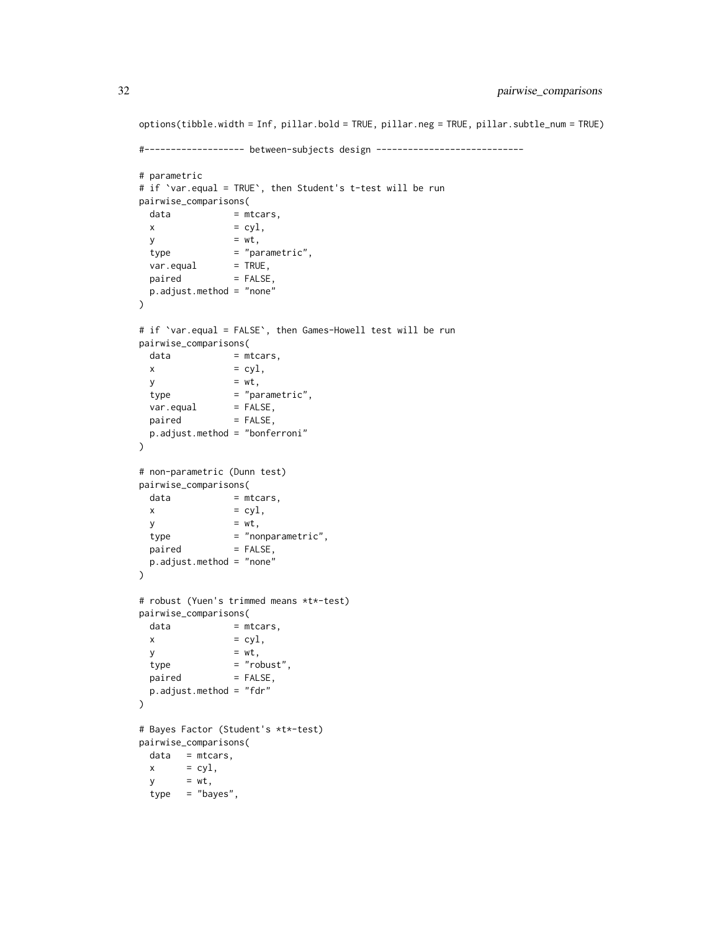```
options(tibble.width = Inf, pillar.bold = TRUE, pillar.neg = TRUE, pillar.subtle_num = TRUE)
#------------------- between-subjects design ----------------------------
# parametric
# if `var.equal = TRUE`, then Student's t-test will be run
pairwise_comparisons(
 data = mtcars,
 x = cy1,y = wt,type = "parametric",<br>var.equal = TRUE,
 var.equalspaired = FALSE,p.adjust.method = "none"
\mathcal{L}# if `var.equal = FALSE`, then Games-Howell test will be run
pairwise_comparisons(
 data = mtcars,
 x = cyl,y = wt,type = "parametric",var.equals = FALSE,paired = FALSE,p.adjust.method = "bonferroni"
)
# non-parametric (Dunn test)
pairwise_comparisons(
 data = mtcars,
 x = cy1,y = wt,type = "nonparametric",
 paired = FALSE,p.adjust.method = "none"
\mathcal{L}# robust (Yuen's trimmed means *t*-test)
pairwise_comparisons(
 data = mtcars,
 x = cyl,y = wt,type = "robust",
 paired = FALSE,
 p.adjust.method = "fdr"
\mathcal{L}# Bayes Factor (Student's *t*-test)
pairwise_comparisons(
 data = mtcars,
 x = cyl,y = wt,type = "bayes",
```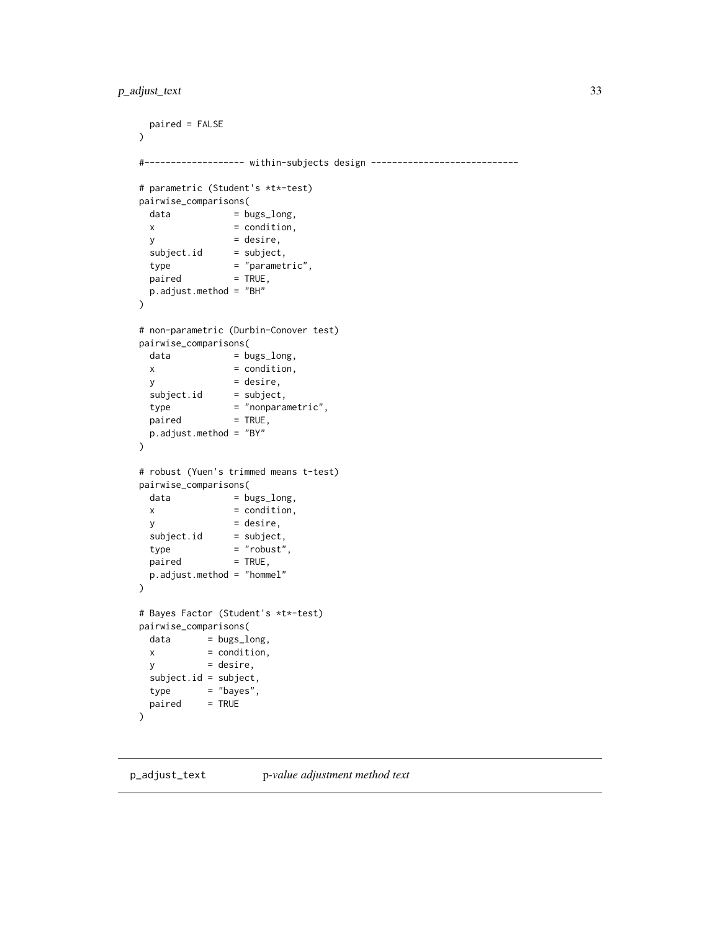#### <span id="page-32-0"></span>p\_adjust\_text 33

```
paired = FALSE
\mathcal{L}#------------------- within-subjects design ----------------------------
# parametric (Student's *t*-test)
pairwise_comparisons(
 data = bugs_long,
 x = condition,y = desire,subject.id = subject,
 type = "parametric",
 paired = TRUE,
 .<br>p.adjust.method = "BH"
\mathcal{L}# non-parametric (Durbin-Conover test)
pairwise_comparisons(
 data = bugs_long,
 x = condition,y = desire,subject.i d = subject,type = "nonparametric",
 paired = TRUE,
 p.adjust.method = "BY"
)
# robust (Yuen's trimmed means t-test)
pairwise_comparisons(
 data = bugs_long,x = condition,y = desire,subject.id = subject,
 type = "robust",paired = TRUE,p.adjust.method = "hommel"
\lambda# Bayes Factor (Student's *t*-test)
pairwise_comparisons(
 data = bugs\_long,x = condition,y = desire,subject.id = subject,
 type = "bayes",paired = TRUE)
```
p\_adjust\_text p*-value adjustment method text*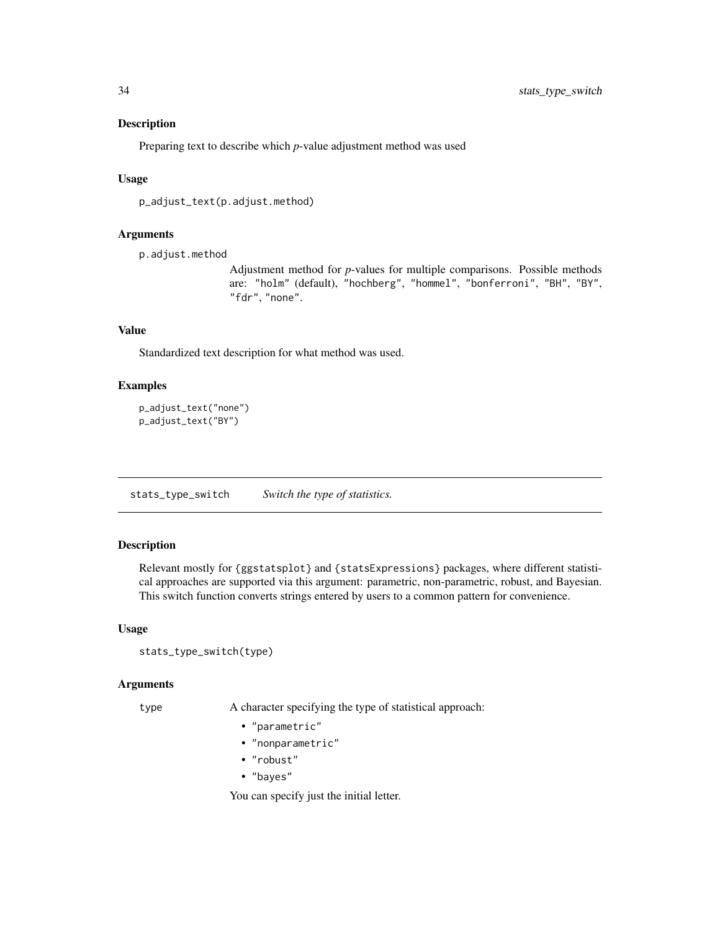#### <span id="page-33-0"></span>Description

Preparing text to describe which *p*-value adjustment method was used

#### Usage

p\_adjust\_text(p.adjust.method)

#### **Arguments**

p.adjust.method

Adjustment method for *p*-values for multiple comparisons. Possible methods are: "holm" (default), "hochberg", "hommel", "bonferroni", "BH", "BY", "fdr", "none".

### Value

Standardized text description for what method was used.

#### Examples

```
p_adjust_text("none")
p_adjust_text("BY")
```
stats\_type\_switch *Switch the type of statistics.*

#### Description

Relevant mostly for {ggstatsplot} and {statsExpressions} packages, where different statistical approaches are supported via this argument: parametric, non-parametric, robust, and Bayesian. This switch function converts strings entered by users to a common pattern for convenience.

#### Usage

```
stats_type_switch(type)
```
#### Arguments

type A character specifying the type of statistical approach:

- "parametric"
- "nonparametric"
- "robust"
- "bayes"

You can specify just the initial letter.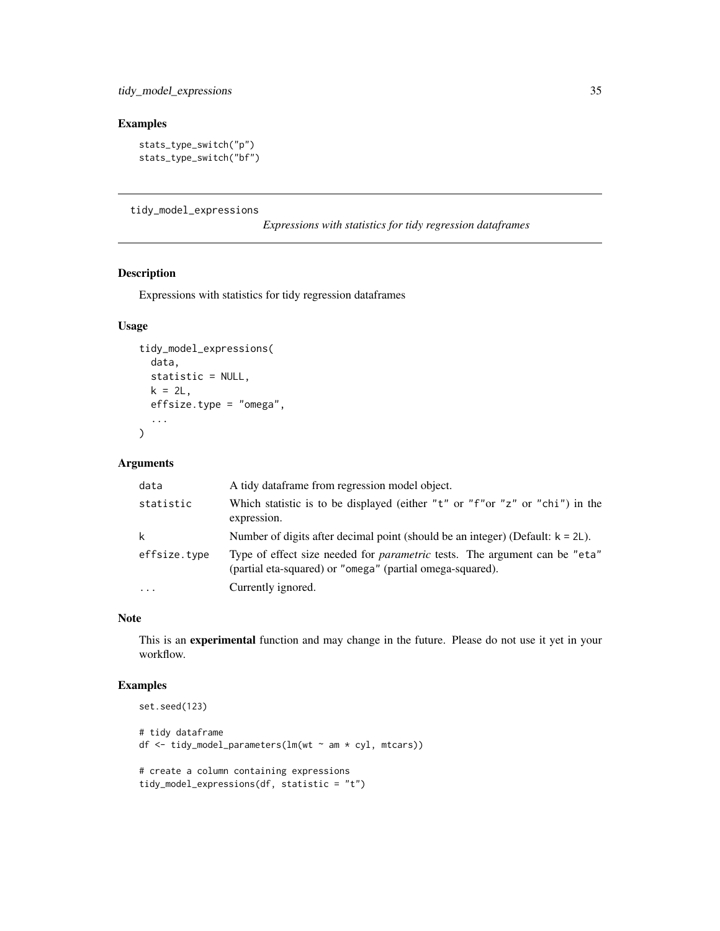#### <span id="page-34-0"></span>Examples

```
stats_type_switch("p")
stats_type_switch("bf")
```
tidy\_model\_expressions

*Expressions with statistics for tidy regression dataframes*

#### Description

Expressions with statistics for tidy regression dataframes

#### Usage

```
tidy_model_expressions(
  data,
  statistic = NULL,
  k = 2L,
  effsize.type = "omega",
  ...
\mathcal{L}
```
#### Arguments

| data         | A tidy dataframe from regression model object.                                                                                                 |
|--------------|------------------------------------------------------------------------------------------------------------------------------------------------|
| statistic    | Which statistic is to be displayed (either "t" or "f"or "z" or "chi") in the<br>expression.                                                    |
| k            | Number of digits after decimal point (should be an integer) (Default: $k = 2L$ ).                                                              |
| effsize.type | Type of effect size needed for <i>parametric</i> tests. The argument can be "eta"<br>(partial eta-squared) or "omega" (partial omega-squared). |
|              | Currently ignored.                                                                                                                             |

#### Note

This is an experimental function and may change in the future. Please do not use it yet in your workflow.

```
set.seed(123)
# tidy dataframe
df <- tidy_model_parameters(lm(wt ~ am * cyl, mtcars))
# create a column containing expressions
tidy_model_expressions(df, statistic = "t")
```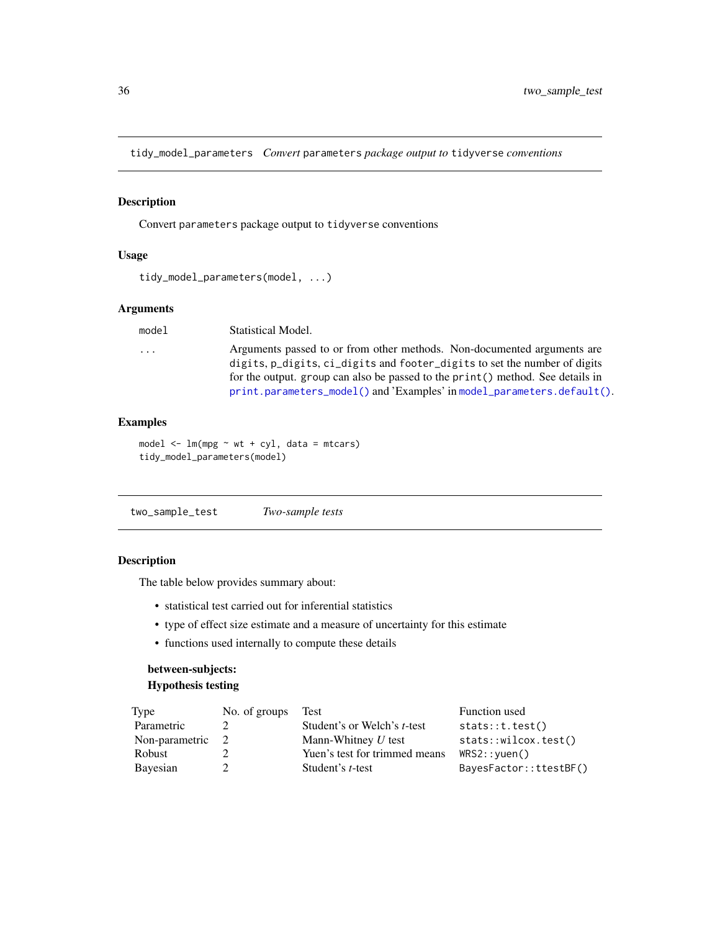<span id="page-35-0"></span>tidy\_model\_parameters *Convert* parameters *package output to* tidyverse *conventions*

#### Description

Convert parameters package output to tidyverse conventions

#### Usage

```
tidy_model_parameters(model, ...)
```
#### Arguments

model Statistical Model. ... Arguments passed to or from other methods. Non-documented arguments are digits, p\_digits, ci\_digits and footer\_digits to set the number of digits for the output. group can also be passed to the print() method. See details in [print.parameters\\_model\(\)](#page-0-0) and 'Examples' in [model\\_parameters.default\(\)](#page-0-0).

#### Examples

```
model \leq - \ln(\text{mpg} \sim \text{wt} + \text{cyl}, \text{data} = \text{mtcars})tidy_model_parameters(model)
```
two\_sample\_test *Two-sample tests*

#### Description

The table below provides summary about:

- statistical test carried out for inferential statistics
- type of effect size estimate and a measure of uncertainty for this estimate
- functions used internally to compute these details

# between-subjects: Hypothesis testing

| Type           | No. of groups | Test                                | Function used          |
|----------------|---------------|-------------------------------------|------------------------|
| Parametric     |               | Student's or Welch's <i>t</i> -test | stats::t.test()        |
| Non-parametric | - 2           | Mann-Whitney $U$ test               | stats::wilcox.test()   |
| Robust         |               | Yuen's test for trimmed means       | $WRS2:$ : yuen()       |
| Bayesian       |               | Student's <i>t</i> -test            | BayesFactor::ttestBF() |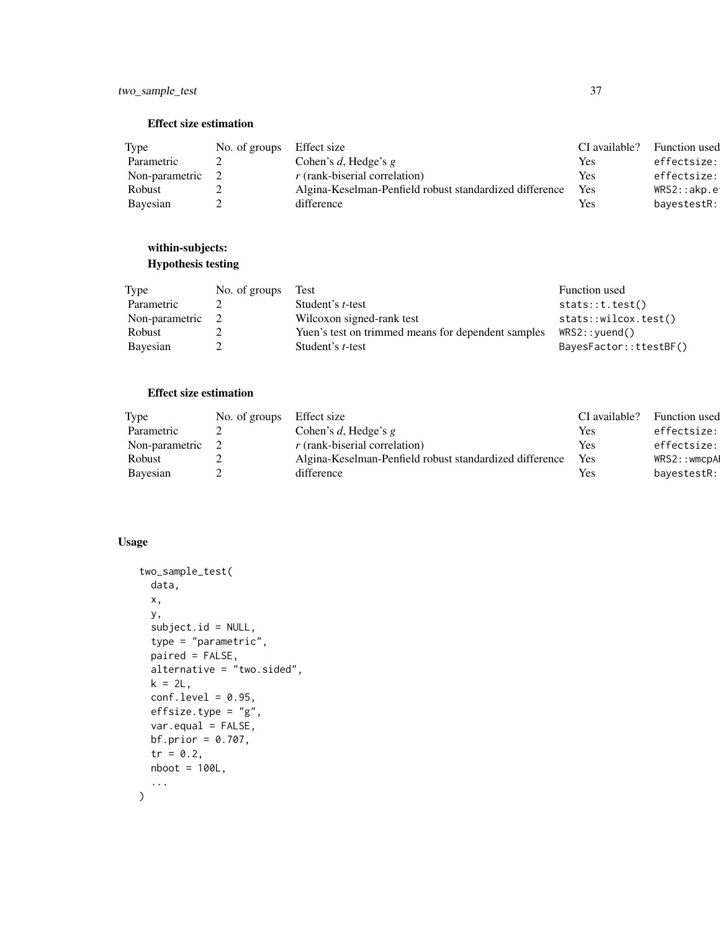#### Effect size estimation

| Type           | No. of groups | Effect size                                             | CI available? | <b>Function</b> used |
|----------------|---------------|---------------------------------------------------------|---------------|----------------------|
| Parametric     |               | Cohen's d, Hedge's g                                    | Yes           | effectsize:          |
| Non-parametric |               | $r$ (rank-biserial correlation)                         | Yes           | effectsize:          |
| Robust         |               | Algina-Keselman-Penfield robust standardized difference | Yes           | WRS2:akp.e           |
| Bayesian       |               | difference                                              | Yes           | bayestestR:          |

# within-subjects: Hypothesis testing

| Type             | No. of groups | Test                                               | Function used          |
|------------------|---------------|----------------------------------------------------|------------------------|
| Parametric       |               | Student's <i>t</i> -test                           | stats::t.test()        |
| Non-parametric 2 |               | Wilcoxon signed-rank test                          | stats::wilcox.test()   |
| Robust           |               | Yuen's test on trimmed means for dependent samples | $WRS2:$ : yuend()      |
| Bayesian         |               | Student's <i>t</i> -test                           | BayesFactor::ttestBF() |

# Effect size estimation

| Type           | No. of groups | Effect size                                             | CI available? | Function used |
|----------------|---------------|---------------------------------------------------------|---------------|---------------|
| Parametric     |               | Cohen's d, Hedge's g                                    | Yes           | effectsize:   |
| Non-parametric |               | $r$ (rank-biserial correlation)                         | Yes           | effectsize:   |
| Robust         |               | Algina-Keselman-Penfield robust standardized difference | Yes           | WRS2::wmcpAl  |
| Bayesian       |               | difference                                              | Yes           | bayestestR:   |

#### Usage

```
two_sample_test(
 data,
 x,
 y,
 subject.id = NULL,
 type = "parametric",
 paired = FALSE,
 alternative = "two.sided",
 k = 2L,
 conf. level = 0.95,effsize.type = "g",
 var.equals = FALSE,bf.prior = 0.707,
 tr = 0.2,
 nboot = 100L,...
)
```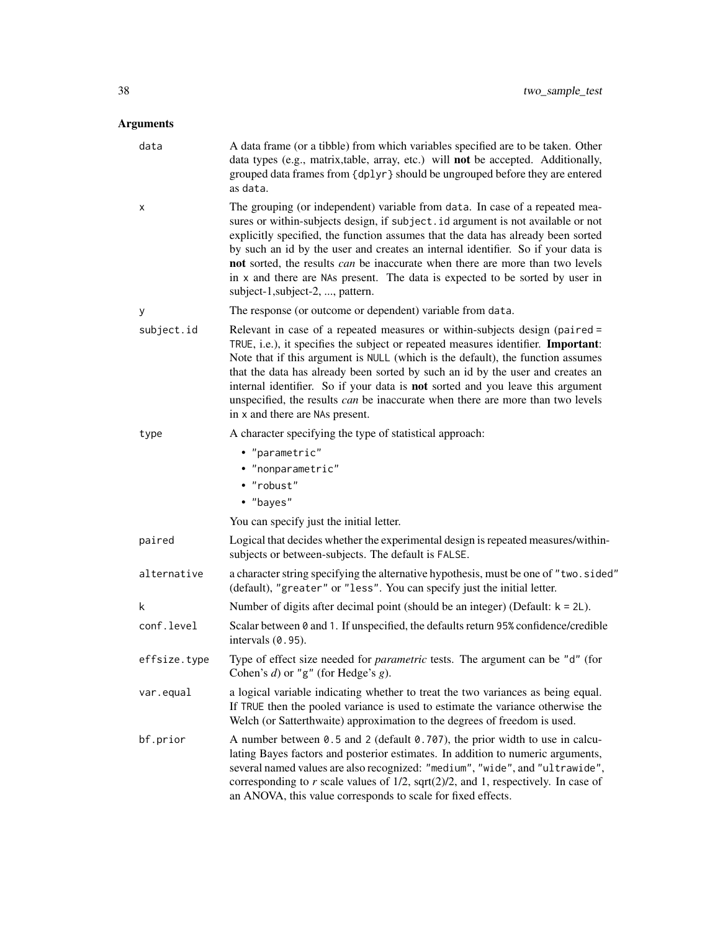| data         | A data frame (or a tibble) from which variables specified are to be taken. Other<br>data types (e.g., matrix, table, array, etc.) will not be accepted. Additionally,<br>grouped data frames from {dplyr} should be ungrouped before they are entered<br>as data.                                                                                                                                                                                                                                                                                     |
|--------------|-------------------------------------------------------------------------------------------------------------------------------------------------------------------------------------------------------------------------------------------------------------------------------------------------------------------------------------------------------------------------------------------------------------------------------------------------------------------------------------------------------------------------------------------------------|
| х            | The grouping (or independent) variable from data. In case of a repeated mea-<br>sures or within-subjects design, if subject . id argument is not available or not<br>explicitly specified, the function assumes that the data has already been sorted<br>by such an id by the user and creates an internal identifier. So if your data is<br>not sorted, the results <i>can</i> be inaccurate when there are more than two levels<br>in x and there are NAs present. The data is expected to be sorted by user in<br>subject-1, subject-2, , pattern. |
| У            | The response (or outcome or dependent) variable from data.                                                                                                                                                                                                                                                                                                                                                                                                                                                                                            |
| subject.id   | Relevant in case of a repeated measures or within-subjects design (paired =<br>TRUE, i.e.), it specifies the subject or repeated measures identifier. Important:<br>Note that if this argument is NULL (which is the default), the function assumes<br>that the data has already been sorted by such an id by the user and creates an<br>internal identifier. So if your data is not sorted and you leave this argument<br>unspecified, the results can be inaccurate when there are more than two levels<br>in x and there are NAs present.          |
| type         | A character specifying the type of statistical approach:                                                                                                                                                                                                                                                                                                                                                                                                                                                                                              |
|              | • "parametric"                                                                                                                                                                                                                                                                                                                                                                                                                                                                                                                                        |
|              | · "nonparametric"                                                                                                                                                                                                                                                                                                                                                                                                                                                                                                                                     |
|              | • "robust"                                                                                                                                                                                                                                                                                                                                                                                                                                                                                                                                            |
|              | • "bayes"                                                                                                                                                                                                                                                                                                                                                                                                                                                                                                                                             |
|              | You can specify just the initial letter.                                                                                                                                                                                                                                                                                                                                                                                                                                                                                                              |
| paired       | Logical that decides whether the experimental design is repeated measures/within-<br>subjects or between-subjects. The default is FALSE.                                                                                                                                                                                                                                                                                                                                                                                                              |
| alternative  | a character string specifying the alternative hypothesis, must be one of "two.sided"<br>(default), "greater" or "less". You can specify just the initial letter.                                                                                                                                                                                                                                                                                                                                                                                      |
| k            | Number of digits after decimal point (should be an integer) (Default: $k = 2L$ ).                                                                                                                                                                                                                                                                                                                                                                                                                                                                     |
| conf.level   | Scalar between 0 and 1. If unspecified, the defaults return 95% confidence/credible<br>intervals $(0.95)$ .                                                                                                                                                                                                                                                                                                                                                                                                                                           |
| effsize.type | Type of effect size needed for <i>parametric</i> tests. The argument can be "d" (for<br>Cohen's $d$ ) or "g" (for Hedge's $g$ ).                                                                                                                                                                                                                                                                                                                                                                                                                      |
| var.equal    | a logical variable indicating whether to treat the two variances as being equal.<br>If TRUE then the pooled variance is used to estimate the variance otherwise the<br>Welch (or Satterthwaite) approximation to the degrees of freedom is used.                                                                                                                                                                                                                                                                                                      |
| bf.prior     | A number between 0.5 and 2 (default 0.707), the prior width to use in calcu-<br>lating Bayes factors and posterior estimates. In addition to numeric arguments,<br>several named values are also recognized: "medium", "wide", and "ultrawide",<br>corresponding to $r$ scale values of $1/2$ , sqrt $(2)/2$ , and 1, respectively. In case of<br>an ANOVA, this value corresponds to scale for fixed effects.                                                                                                                                        |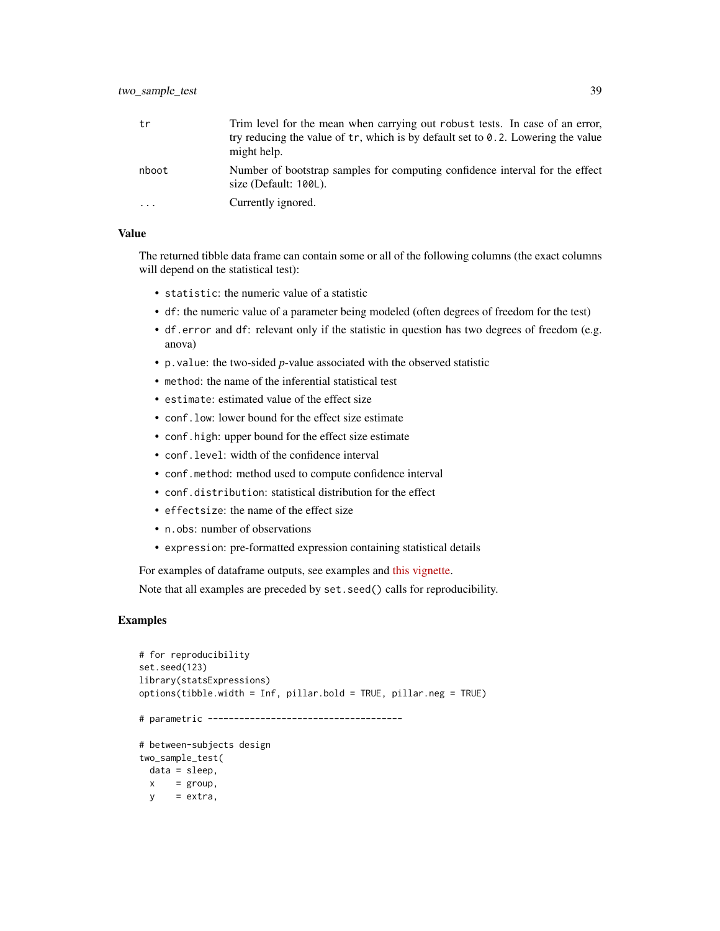| tr       | Trim level for the mean when carrying out robust tests. In case of an error,<br>try reducing the value of $tr$ , which is by default set to 0.2. Lowering the value<br>might help. |
|----------|------------------------------------------------------------------------------------------------------------------------------------------------------------------------------------|
| nboot    | Number of bootstrap samples for computing confidence interval for the effect<br>size (Default: 100L).                                                                              |
| $\cdots$ | Currently ignored.                                                                                                                                                                 |

#### Value

The returned tibble data frame can contain some or all of the following columns (the exact columns will depend on the statistical test):

- statistic: the numeric value of a statistic
- df: the numeric value of a parameter being modeled (often degrees of freedom for the test)
- df.error and df: relevant only if the statistic in question has two degrees of freedom (e.g. anova)
- p.value: the two-sided *p*-value associated with the observed statistic
- method: the name of the inferential statistical test
- estimate: estimated value of the effect size
- conf.low: lower bound for the effect size estimate
- conf.high: upper bound for the effect size estimate
- conf.level: width of the confidence interval
- conf.method: method used to compute confidence interval
- conf.distribution: statistical distribution for the effect
- effectsize: the name of the effect size
- n.obs: number of observations
- expression: pre-formatted expression containing statistical details

For examples of dataframe outputs, see examples and [this vignette.](https://indrajeetpatil.github.io/statsExpressions/articles/web_only/dataframe_outputs.html)

Note that all examples are preceded by set.seed() calls for reproducibility.

```
# for reproducibility
set.seed(123)
library(statsExpressions)
options(tibble.width = Inf, pillar.bold = TRUE, pillar.neg = TRUE)
# parametric -------------------------------------
# between-subjects design
two_sample_test(
 data = sleep,
 x = \text{group},
 y = extra,
```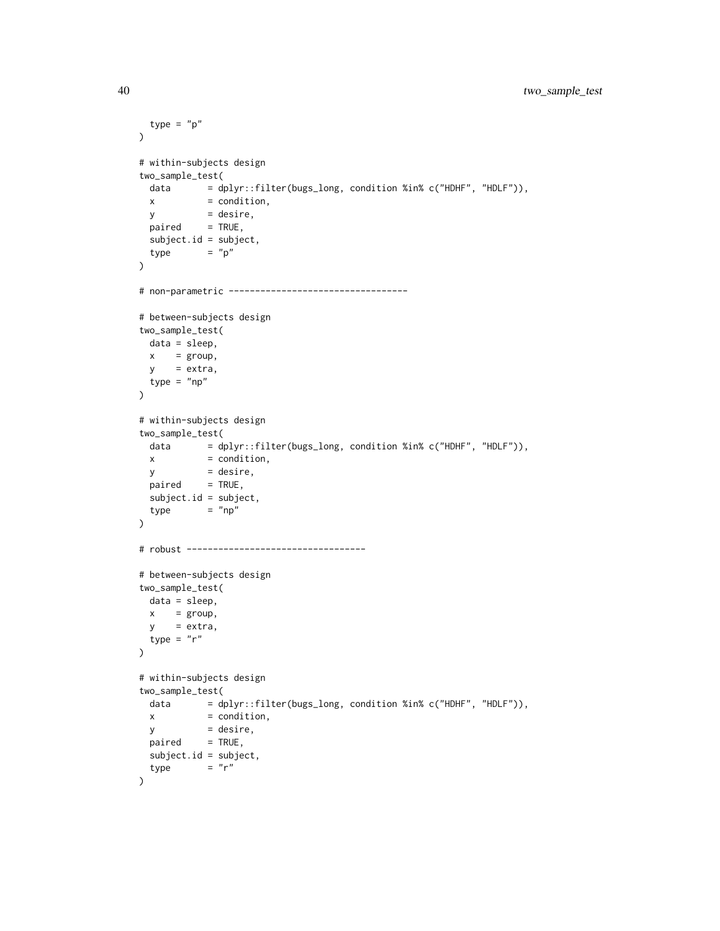```
type = "p"\lambda# within-subjects design
two_sample_test(
 data = dplyr::filter(bugs_long, condition %in% c("HDHF", "HDLF")),
 x = condition,y = desire,paired = TRUE,subject.id = subject,
 type = "p"\mathcal{L}# non-parametric ----------------------------------
# between-subjects design
two_sample_test(
 data = sleep,
 x = \text{group},y = extra,
 type = "np"
\lambda# within-subjects design
two_sample_test(
 data = dplyr::filter(bugs_long, condition %in% c("HDHF", "HDLF")),
 x = condition,y = desire,paired = TRUE,subject.id = subject,
 type = "np"
\mathcal{L}# robust ----------------------------------
# between-subjects design
two_sample_test(
 data = sleep,
 x = \text{group},
 y = extra,type = "r")
# within-subjects design
two_sample_test(
 data = dplyr::filter(bugs_long, condition %in% c("HDHF", "HDLF")),
 x = condition,y = desire,paired = TRUE,subject.id = subject,
 type = "r")
```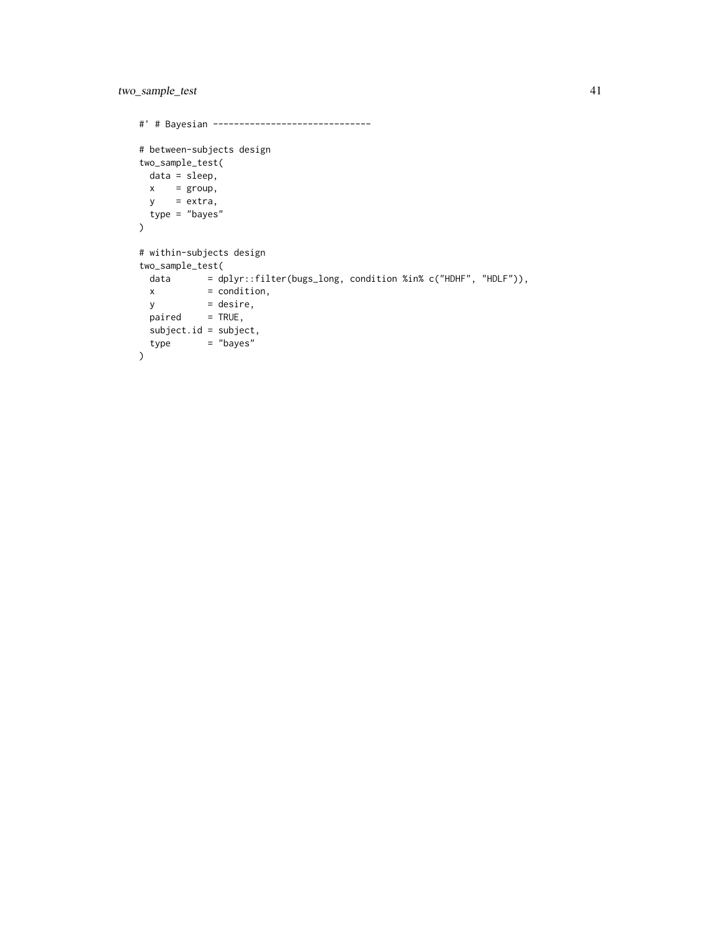```
#' # Bayesian ------------------------------
# between-subjects design
two_sample_test(
data = sleep,
 x = \text{group},
 y = extra,
 type = "bayes"
\lambda# within-subjects design
two_sample_test(
  data = dplyr::filter(bugs\_long, condition %in% c("HDHF", "HDLF")),
  x = condition,y = desire,
  paired = TRUE,
 subject.id = subject,
  type = "bayes")
```